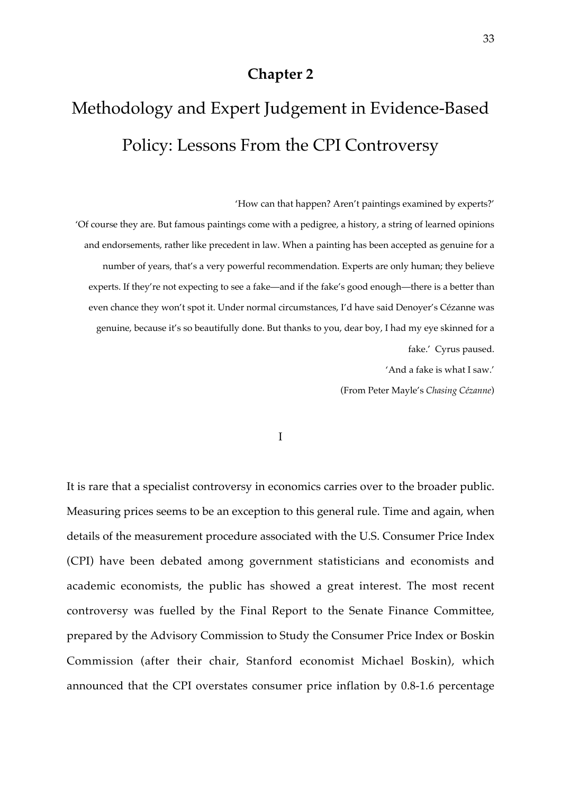# **Chapter 2**

# Methodology and Expert Judgement in Evidence-Based Policy: Lessons From the CPI Controversy

'How can that happen? Aren't paintings examined by experts?'

'Of course they are. But famous paintings come with a pedigree, a history, a string of learned opinions and endorsements, rather like precedent in law. When a painting has been accepted as genuine for a number of years, that's a very powerful recommendation. Experts are only human; they believe experts. If they're not expecting to see a fake—and if the fake's good enough—there is a better than even chance they won't spot it. Under normal circumstances, I'd have said Denoyer's Cézanne was genuine, because it's so beautifully done. But thanks to you, dear boy, I had my eye skinned for a fake.' Cyrus paused.

'And a fake is what I saw.'

(From Peter Mayle's *Chasing Cézanne*)

I

It is rare that a specialist controversy in economics carries over to the broader public. Measuring prices seems to be an exception to this general rule. Time and again, when details of the measurement procedure associated with the U.S. Consumer Price Index (CPI) have been debated among government statisticians and economists and academic economists, the public has showed a great interest. The most recent controversy was fuelled by the Final Report to the Senate Finance Committee, prepared by the Advisory Commission to Study the Consumer Price Index or Boskin Commission (after their chair, Stanford economist Michael Boskin), which announced that the CPI overstates consumer price inflation by 0.8-1.6 percentage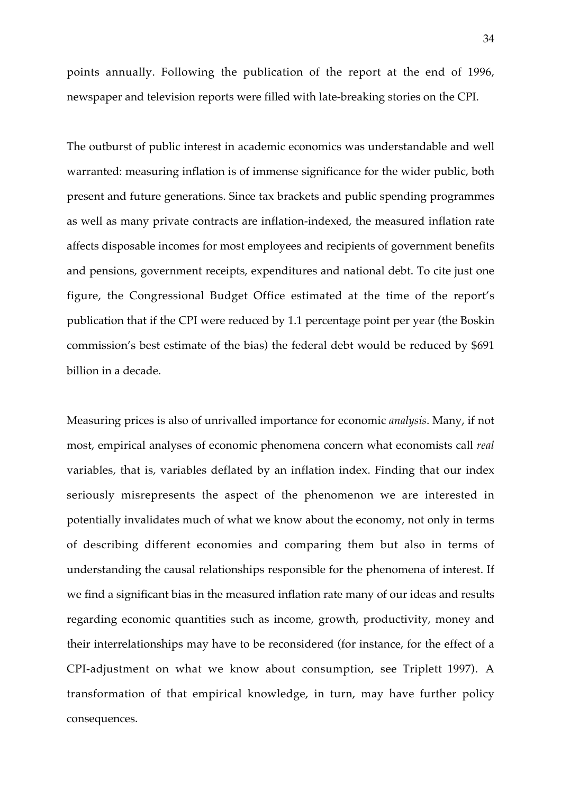points annually. Following the publication of the report at the end of 1996, newspaper and television reports were filled with late-breaking stories on the CPI.

The outburst of public interest in academic economics was understandable and well warranted: measuring inflation is of immense significance for the wider public, both present and future generations. Since tax brackets and public spending programmes as well as many private contracts are inflation-indexed, the measured inflation rate affects disposable incomes for most employees and recipients of government benefits and pensions, government receipts, expenditures and national debt. To cite just one figure, the Congressional Budget Office estimated at the time of the report's publication that if the CPI were reduced by 1.1 percentage point per year (the Boskin commission's best estimate of the bias) the federal debt would be reduced by \$691 billion in a decade.

Measuring prices is also of unrivalled importance for economic *analysis*. Many, if not most, empirical analyses of economic phenomena concern what economists call *real* variables, that is, variables deflated by an inflation index. Finding that our index seriously misrepresents the aspect of the phenomenon we are interested in potentially invalidates much of what we know about the economy, not only in terms of describing different economies and comparing them but also in terms of understanding the causal relationships responsible for the phenomena of interest. If we find a significant bias in the measured inflation rate many of our ideas and results regarding economic quantities such as income, growth, productivity, money and their interrelationships may have to be reconsidered (for instance, for the effect of a CPI-adjustment on what we know about consumption, see Triplett 1997). A transformation of that empirical knowledge, in turn, may have further policy consequences.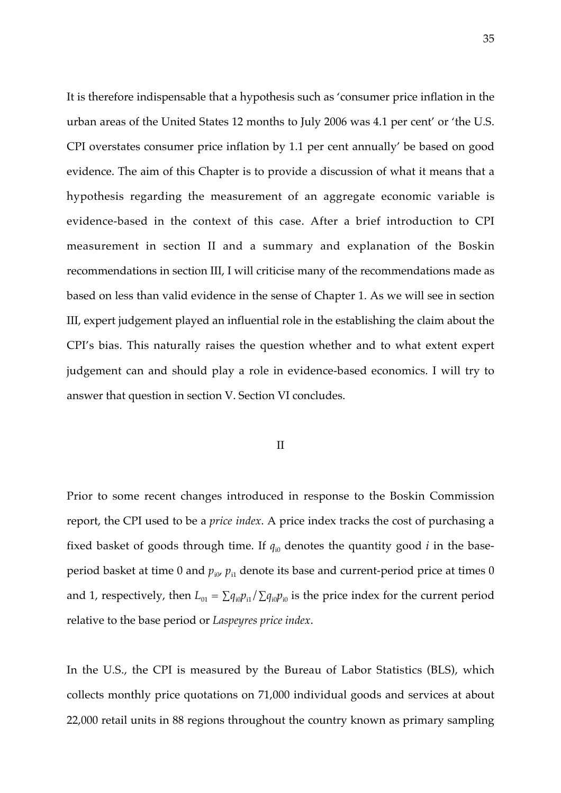It is therefore indispensable that a hypothesis such as 'consumer price inflation in the urban areas of the United States 12 months to July 2006 was 4.1 per cent' or 'the U.S. CPI overstates consumer price inflation by 1.1 per cent annually' be based on good evidence. The aim of this Chapter is to provide a discussion of what it means that a hypothesis regarding the measurement of an aggregate economic variable is evidence-based in the context of this case. After a brief introduction to CPI measurement in section II and a summary and explanation of the Boskin recommendations in section III, I will criticise many of the recommendations made as based on less than valid evidence in the sense of Chapter 1. As we will see in section III, expert judgement played an influential role in the establishing the claim about the CPI's bias. This naturally raises the question whether and to what extent expert judgement can and should play a role in evidence-based economics. I will try to answer that question in section V. Section VI concludes.

## II

Prior to some recent changes introduced in response to the Boskin Commission report, the CPI used to be a *price index*. A price index tracks the cost of purchasing a fixed basket of goods through time. If  $q_{i0}$  denotes the quantity good *i* in the baseperiod basket at time 0 and  $p_{i0}$ ,  $p_{i1}$  denote its base and current-period price at times 0 and 1, respectively, then  $L_{01} = \sum q_{i0} p_{i1} / \sum q_{i0} p_{i0}$  is the price index for the current period relative to the base period or *Laspeyres price index*.

In the U.S., the CPI is measured by the Bureau of Labor Statistics (BLS), which collects monthly price quotations on 71,000 individual goods and services at about 22,000 retail units in 88 regions throughout the country known as primary sampling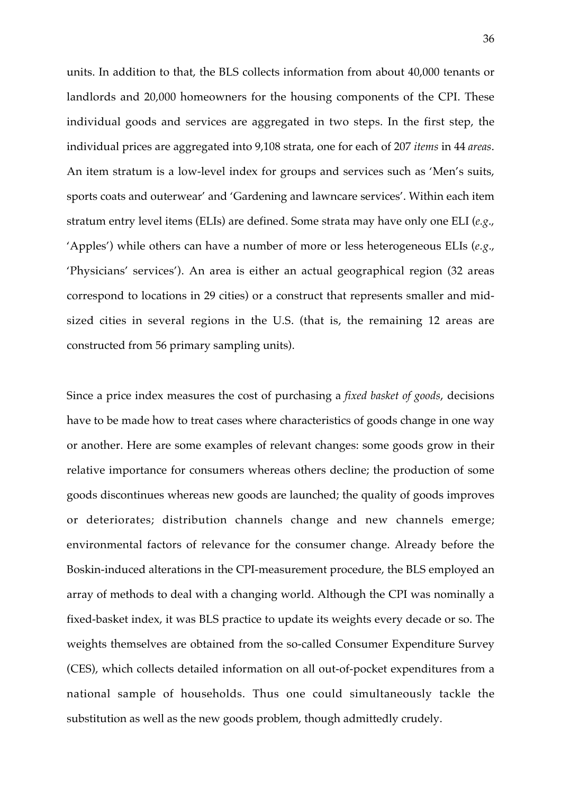units. In addition to that, the BLS collects information from about 40,000 tenants or landlords and 20,000 homeowners for the housing components of the CPI. These individual goods and services are aggregated in two steps. In the first step, the individual prices are aggregated into 9,108 strata, one for each of 207 *items* in 44 *areas*. An item stratum is a low-level index for groups and services such as 'Men's suits, sports coats and outerwear' and 'Gardening and lawncare services'. Within each item stratum entry level items (ELIs) are defined. Some strata may have only one ELI (*e.g*., 'Apples') while others can have a number of more or less heterogeneous ELIs (*e.g*., 'Physicians' services'). An area is either an actual geographical region (32 areas correspond to locations in 29 cities) or a construct that represents smaller and midsized cities in several regions in the U.S. (that is, the remaining 12 areas are constructed from 56 primary sampling units).

Since a price index measures the cost of purchasing a *fixed basket of goods*, decisions have to be made how to treat cases where characteristics of goods change in one way or another. Here are some examples of relevant changes: some goods grow in their relative importance for consumers whereas others decline; the production of some goods discontinues whereas new goods are launched; the quality of goods improves or deteriorates; distribution channels change and new channels emerge; environmental factors of relevance for the consumer change. Already before the Boskin-induced alterations in the CPI-measurement procedure, the BLS employed an array of methods to deal with a changing world. Although the CPI was nominally a fixed-basket index, it was BLS practice to update its weights every decade or so. The weights themselves are obtained from the so-called Consumer Expenditure Survey (CES), which collects detailed information on all out-of-pocket expenditures from a national sample of households. Thus one could simultaneously tackle the substitution as well as the new goods problem, though admittedly crudely.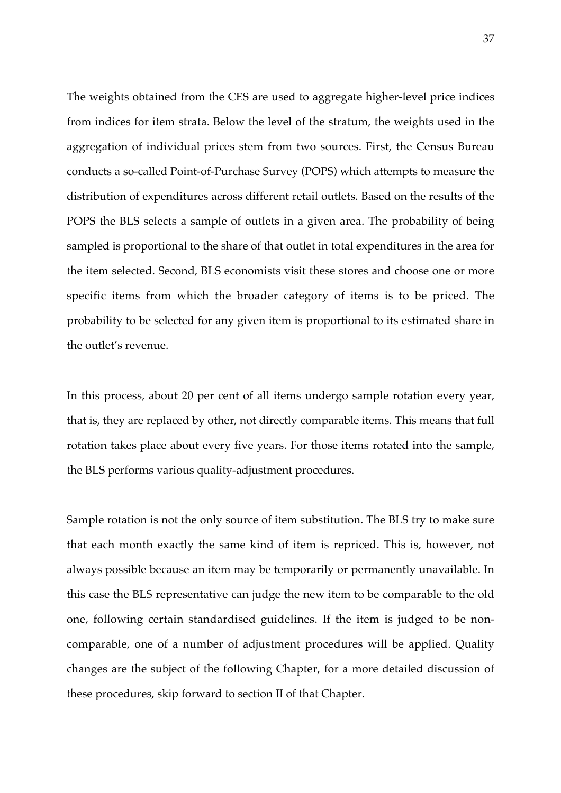The weights obtained from the CES are used to aggregate higher-level price indices from indices for item strata. Below the level of the stratum, the weights used in the aggregation of individual prices stem from two sources. First, the Census Bureau conducts a so-called Point-of-Purchase Survey (POPS) which attempts to measure the distribution of expenditures across different retail outlets. Based on the results of the POPS the BLS selects a sample of outlets in a given area. The probability of being sampled is proportional to the share of that outlet in total expenditures in the area for the item selected. Second, BLS economists visit these stores and choose one or more specific items from which the broader category of items is to be priced. The probability to be selected for any given item is proportional to its estimated share in the outlet's revenue.

In this process, about 20 per cent of all items undergo sample rotation every year, that is, they are replaced by other, not directly comparable items. This means that full rotation takes place about every five years. For those items rotated into the sample, the BLS performs various quality-adjustment procedures.

Sample rotation is not the only source of item substitution. The BLS try to make sure that each month exactly the same kind of item is repriced. This is, however, not always possible because an item may be temporarily or permanently unavailable. In this case the BLS representative can judge the new item to be comparable to the old one, following certain standardised guidelines. If the item is judged to be noncomparable, one of a number of adjustment procedures will be applied. Quality changes are the subject of the following Chapter, for a more detailed discussion of these procedures, skip forward to section II of that Chapter.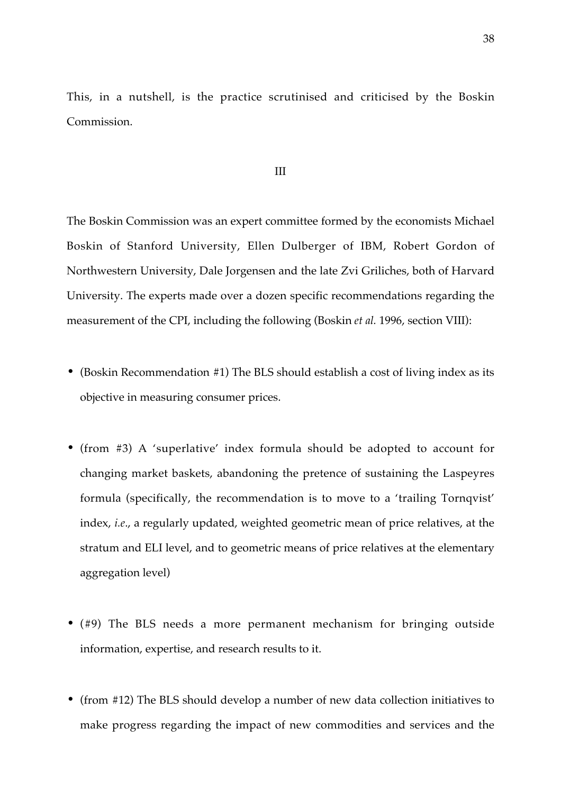This, in a nutshell, is the practice scrutinised and criticised by the Boskin Commission.

#### III

The Boskin Commission was an expert committee formed by the economists Michael Boskin of Stanford University, Ellen Dulberger of IBM, Robert Gordon of Northwestern University, Dale Jorgensen and the late Zvi Griliches, both of Harvard University. The experts made over a dozen specific recommendations regarding the measurement of the CPI, including the following (Boskin *et al.* 1996, section VIII):

- (Boskin Recommendation #1) The BLS should establish a cost of living index as its objective in measuring consumer prices.
- (from #3) A 'superlative' index formula should be adopted to account for changing market baskets, abandoning the pretence of sustaining the Laspeyres formula (specifically, the recommendation is to move to a 'trailing Tornqvist' index, *i.e*., a regularly updated, weighted geometric mean of price relatives, at the stratum and ELI level, and to geometric means of price relatives at the elementary aggregation level)
- (#9) The BLS needs a more permanent mechanism for bringing outside information, expertise, and research results to it.
- (from #12) The BLS should develop a number of new data collection initiatives to make progress regarding the impact of new commodities and services and the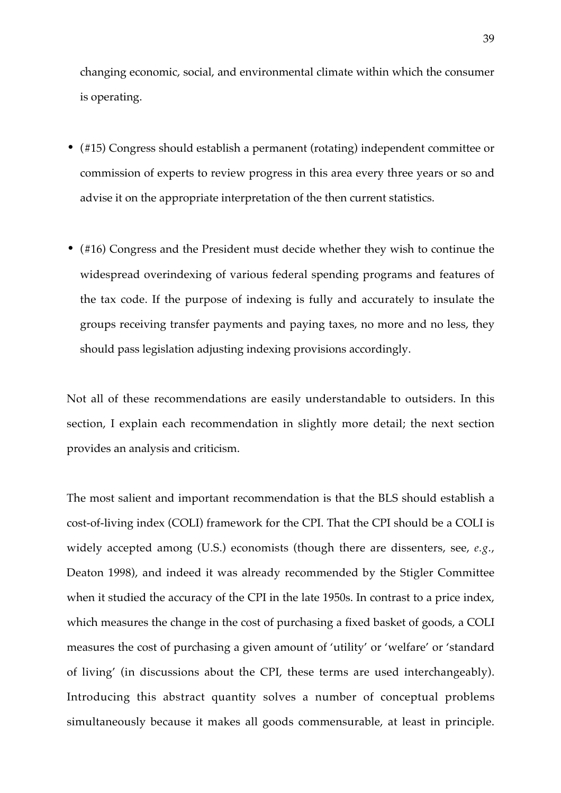changing economic, social, and environmental climate within which the consumer is operating.

- (#15) Congress should establish a permanent (rotating) independent committee or commission of experts to review progress in this area every three years or so and advise it on the appropriate interpretation of the then current statistics.
- (#16) Congress and the President must decide whether they wish to continue the widespread overindexing of various federal spending programs and features of the tax code. If the purpose of indexing is fully and accurately to insulate the groups receiving transfer payments and paying taxes, no more and no less, they should pass legislation adjusting indexing provisions accordingly.

Not all of these recommendations are easily understandable to outsiders. In this section, I explain each recommendation in slightly more detail; the next section provides an analysis and criticism.

The most salient and important recommendation is that the BLS should establish a cost-of-living index (COLI) framework for the CPI. That the CPI should be a COLI is widely accepted among (U.S.) economists (though there are dissenters, see, *e.g*., Deaton 1998), and indeed it was already recommended by the Stigler Committee when it studied the accuracy of the CPI in the late 1950s. In contrast to a price index, which measures the change in the cost of purchasing a fixed basket of goods, a COLI measures the cost of purchasing a given amount of 'utility' or 'welfare' or 'standard of living' (in discussions about the CPI, these terms are used interchangeably). Introducing this abstract quantity solves a number of conceptual problems simultaneously because it makes all goods commensurable, at least in principle.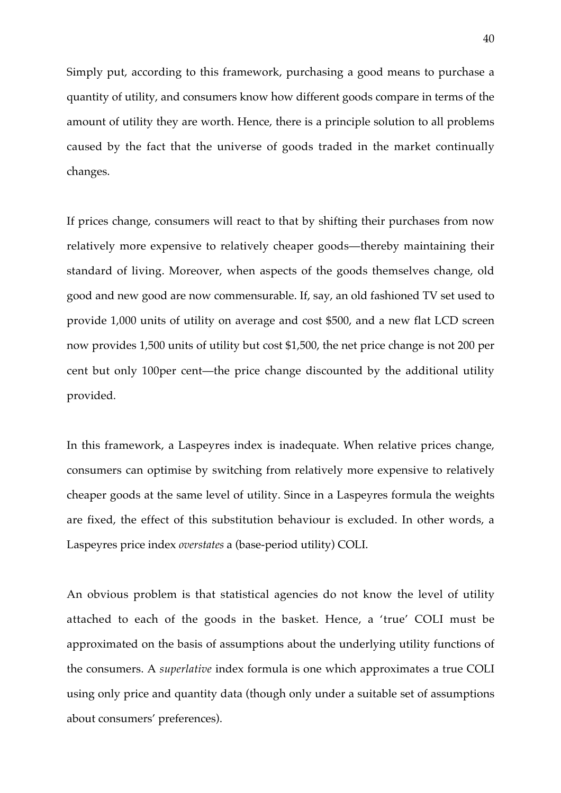Simply put, according to this framework, purchasing a good means to purchase a quantity of utility, and consumers know how different goods compare in terms of the amount of utility they are worth. Hence, there is a principle solution to all problems caused by the fact that the universe of goods traded in the market continually changes.

If prices change, consumers will react to that by shifting their purchases from now relatively more expensive to relatively cheaper goods—thereby maintaining their standard of living. Moreover, when aspects of the goods themselves change, old good and new good are now commensurable. If, say, an old fashioned TV set used to provide 1,000 units of utility on average and cost \$500, and a new flat LCD screen now provides 1,500 units of utility but cost \$1,500, the net price change is not 200 per cent but only 100per cent—the price change discounted by the additional utility provided.

In this framework, a Laspeyres index is inadequate. When relative prices change, consumers can optimise by switching from relatively more expensive to relatively cheaper goods at the same level of utility. Since in a Laspeyres formula the weights are fixed, the effect of this substitution behaviour is excluded. In other words, a Laspeyres price index *overstates* a (base-period utility) COLI.

An obvious problem is that statistical agencies do not know the level of utility attached to each of the goods in the basket. Hence, a 'true' COLI must be approximated on the basis of assumptions about the underlying utility functions of the consumers. A *superlative* index formula is one which approximates a true COLI using only price and quantity data (though only under a suitable set of assumptions about consumers' preferences).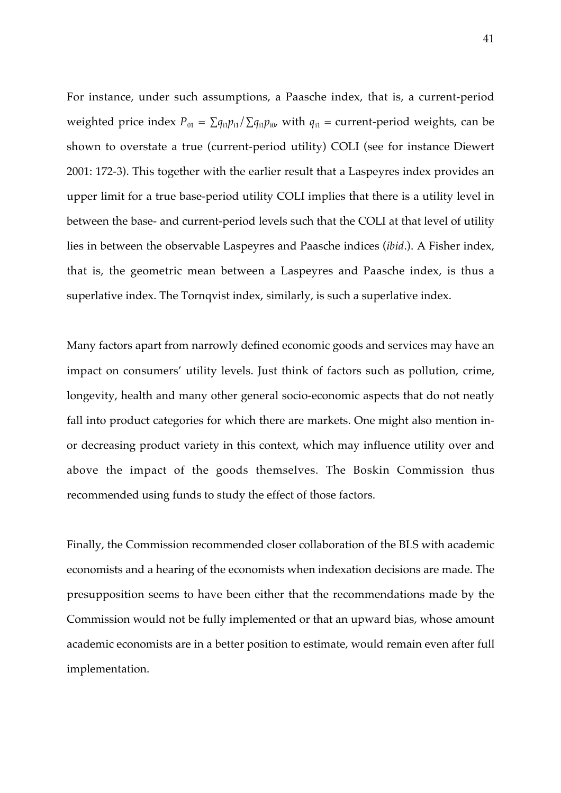For instance, under such assumptions, a Paasche index, that is, a current-period weighted price index  $P_{01} = \sum q_{i1} p_{i1} / \sum q_{i1} p_{i0}$ , with  $q_{i1}$  = current-period weights, can be shown to overstate a true (current-period utility) COLI (see for instance Diewert 2001: 172-3). This together with the earlier result that a Laspeyres index provides an upper limit for a true base-period utility COLI implies that there is a utility level in between the base- and current-period levels such that the COLI at that level of utility lies in between the observable Laspeyres and Paasche indices (*ibid*.). A Fisher index, that is, the geometric mean between a Laspeyres and Paasche index, is thus a superlative index. The Tornqvist index, similarly, is such a superlative index.

Many factors apart from narrowly defined economic goods and services may have an impact on consumers' utility levels. Just think of factors such as pollution, crime, longevity, health and many other general socio-economic aspects that do not neatly fall into product categories for which there are markets. One might also mention inor decreasing product variety in this context, which may influence utility over and above the impact of the goods themselves. The Boskin Commission thus recommended using funds to study the effect of those factors.

Finally, the Commission recommended closer collaboration of the BLS with academic economists and a hearing of the economists when indexation decisions are made. The presupposition seems to have been either that the recommendations made by the Commission would not be fully implemented or that an upward bias, whose amount academic economists are in a better position to estimate, would remain even after full implementation.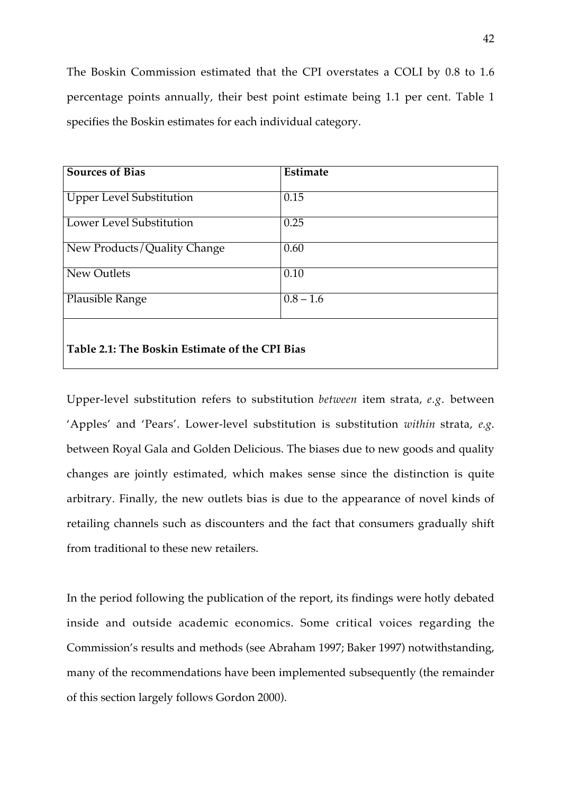The Boskin Commission estimated that the CPI overstates a COLI by 0.8 to 1.6 percentage points annually, their best point estimate being 1.1 per cent. Table 1 specifies the Boskin estimates for each individual category.

| <b>Sources of Bias</b>                         | Estimate               |
|------------------------------------------------|------------------------|
| <b>Upper Level Substitution</b>                | 0.15                   |
| <b>Lower Level Substitution</b>                | 0.25                   |
| New Products/Quality Change                    | 0.60                   |
| New Outlets                                    | 0.10                   |
| Plausible Range                                | $\overline{0.8} - 1.6$ |
|                                                |                        |
| Table 2.1: The Boskin Estimate of the CPI Bias |                        |

Upper-level substitution refers to substitution *between* item strata, *e.g*. between 'Apples' and 'Pears'. Lower-level substitution is substitution *within* strata, *e.g*. between Royal Gala and Golden Delicious. The biases due to new goods and quality changes are jointly estimated, which makes sense since the distinction is quite arbitrary. Finally, the new outlets bias is due to the appearance of novel kinds of retailing channels such as discounters and the fact that consumers gradually shift from traditional to these new retailers.

In the period following the publication of the report, its findings were hotly debated inside and outside academic economics. Some critical voices regarding the Commission's results and methods (see Abraham 1997; Baker 1997) notwithstanding, many of the recommendations have been implemented subsequently (the remainder of this section largely follows Gordon 2000).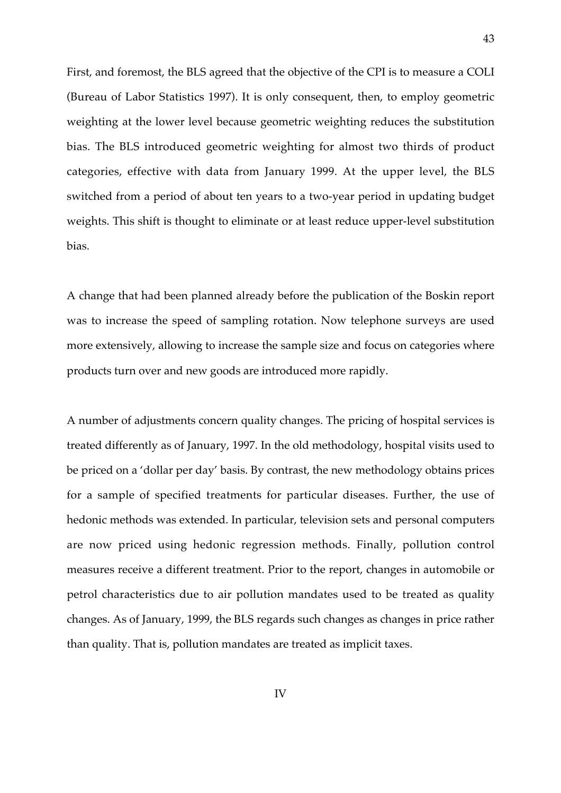First, and foremost, the BLS agreed that the objective of the CPI is to measure a COLI (Bureau of Labor Statistics 1997). It is only consequent, then, to employ geometric weighting at the lower level because geometric weighting reduces the substitution bias. The BLS introduced geometric weighting for almost two thirds of product categories, effective with data from January 1999. At the upper level, the BLS switched from a period of about ten years to a two-year period in updating budget weights. This shift is thought to eliminate or at least reduce upper-level substitution bias.

43

A change that had been planned already before the publication of the Boskin report was to increase the speed of sampling rotation. Now telephone surveys are used more extensively, allowing to increase the sample size and focus on categories where products turn over and new goods are introduced more rapidly.

A number of adjustments concern quality changes. The pricing of hospital services is treated differently as of January, 1997. In the old methodology, hospital visits used to be priced on a 'dollar per day' basis. By contrast, the new methodology obtains prices for a sample of specified treatments for particular diseases. Further, the use of hedonic methods was extended. In particular, television sets and personal computers are now priced using hedonic regression methods. Finally, pollution control measures receive a different treatment. Prior to the report, changes in automobile or petrol characteristics due to air pollution mandates used to be treated as quality changes. As of January, 1999, the BLS regards such changes as changes in price rather than quality. That is, pollution mandates are treated as implicit taxes.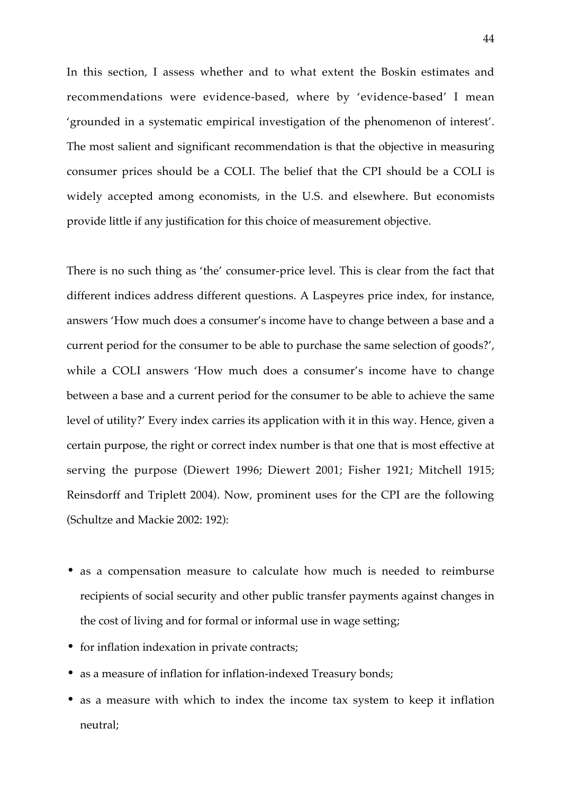In this section, I assess whether and to what extent the Boskin estimates and recommendations were evidence-based, where by 'evidence-based' I mean 'grounded in a systematic empirical investigation of the phenomenon of interest'. The most salient and significant recommendation is that the objective in measuring consumer prices should be a COLI. The belief that the CPI should be a COLI is widely accepted among economists, in the U.S. and elsewhere. But economists provide little if any justification for this choice of measurement objective.

There is no such thing as 'the' consumer-price level. This is clear from the fact that different indices address different questions. A Laspeyres price index, for instance, answers 'How much does a consumer's income have to change between a base and a current period for the consumer to be able to purchase the same selection of goods?', while a COLI answers 'How much does a consumer's income have to change between a base and a current period for the consumer to be able to achieve the same level of utility?' Every index carries its application with it in this way. Hence, given a certain purpose, the right or correct index number is that one that is most effective at serving the purpose (Diewert 1996; Diewert 2001; Fisher 1921; Mitchell 1915; Reinsdorff and Triplett 2004). Now, prominent uses for the CPI are the following (Schultze and Mackie 2002: 192):

- as a compensation measure to calculate how much is needed to reimburse recipients of social security and other public transfer payments against changes in the cost of living and for formal or informal use in wage setting;
- for inflation indexation in private contracts;
- as a measure of inflation for inflation-indexed Treasury bonds;
- as a measure with which to index the income tax system to keep it inflation neutral;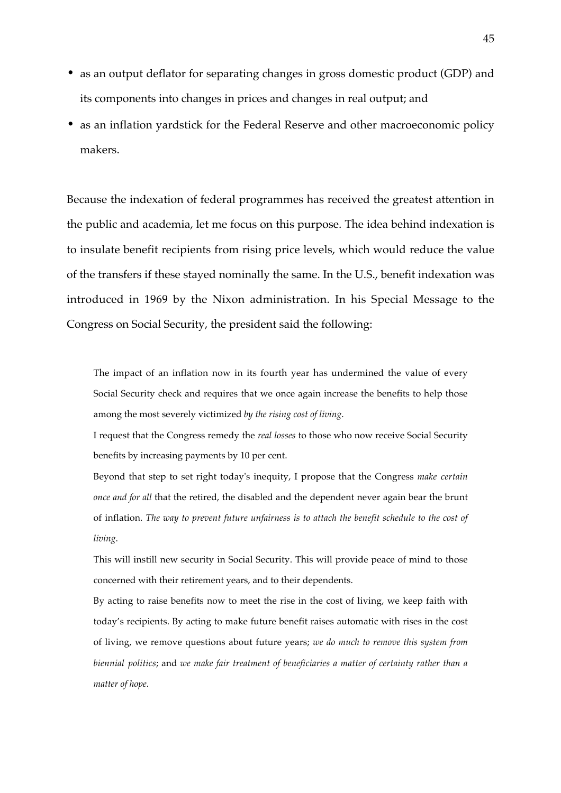- as an output deflator for separating changes in gross domestic product (GDP) and its components into changes in prices and changes in real output; and
- as an inflation yardstick for the Federal Reserve and other macroeconomic policy makers.

Because the indexation of federal programmes has received the greatest attention in the public and academia, let me focus on this purpose. The idea behind indexation is to insulate benefit recipients from rising price levels, which would reduce the value of the transfers if these stayed nominally the same. In the U.S., benefit indexation was introduced in 1969 by the Nixon administration. In his Special Message to the Congress on Social Security, the president said the following:

The impact of an inflation now in its fourth year has undermined the value of every Social Security check and requires that we once again increase the benefits to help those among the most severely victimized *by the rising cost of living*.

I request that the Congress remedy the *real losses* to those who now receive Social Security benefits by increasing payments by 10 per cent.

Beyond that step to set right today's inequity, I propose that the Congress *make certain once and for all* that the retired, the disabled and the dependent never again bear the brunt of inflation. *The way to prevent future unfairness is to attach the benefit schedule to the cost of living*.

This will instill new security in Social Security. This will provide peace of mind to those concerned with their retirement years, and to their dependents.

By acting to raise benefits now to meet the rise in the cost of living, we keep faith with today's recipients. By acting to make future benefit raises automatic with rises in the cost of living, we remove questions about future years; *we do much to remove this system from biennial politics*; and *we make fair treatment of beneficiaries a matter of certainty rather than a matter of hope*.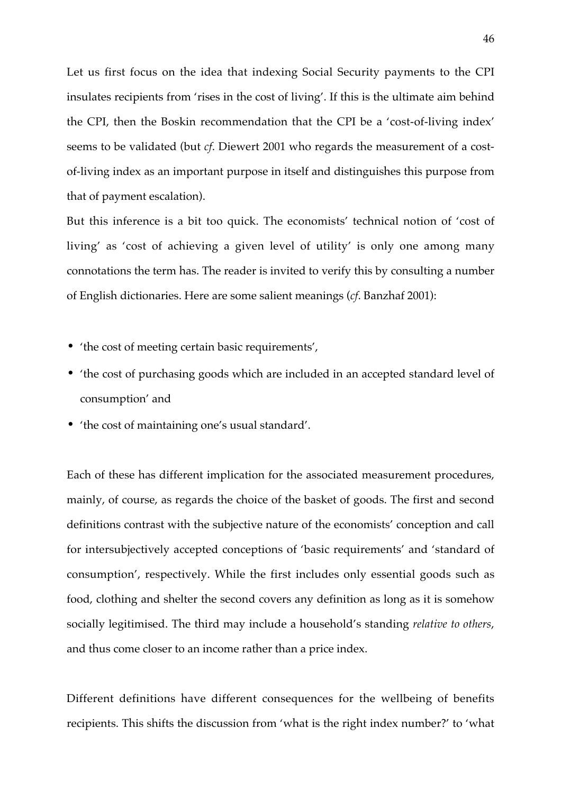Let us first focus on the idea that indexing Social Security payments to the CPI insulates recipients from 'rises in the cost of living'. If this is the ultimate aim behind the CPI, then the Boskin recommendation that the CPI be a 'cost-of-living index' seems to be validated (but *cf*. Diewert 2001 who regards the measurement of a costof-living index as an important purpose in itself and distinguishes this purpose from that of payment escalation).

But this inference is a bit too quick. The economists' technical notion of 'cost of living' as 'cost of achieving a given level of utility' is only one among many connotations the term has. The reader is invited to verify this by consulting a number of English dictionaries. Here are some salient meanings (*cf*. Banzhaf 2001):

- 'the cost of meeting certain basic requirements',
- 'the cost of purchasing goods which are included in an accepted standard level of consumption' and
- 'the cost of maintaining one's usual standard'.

Each of these has different implication for the associated measurement procedures, mainly, of course, as regards the choice of the basket of goods. The first and second definitions contrast with the subjective nature of the economists' conception and call for intersubjectively accepted conceptions of 'basic requirements' and 'standard of consumption', respectively. While the first includes only essential goods such as food, clothing and shelter the second covers any definition as long as it is somehow socially legitimised. The third may include a household's standing *relative to others*, and thus come closer to an income rather than a price index.

Different definitions have different consequences for the wellbeing of benefits recipients. This shifts the discussion from 'what is the right index number?' to 'what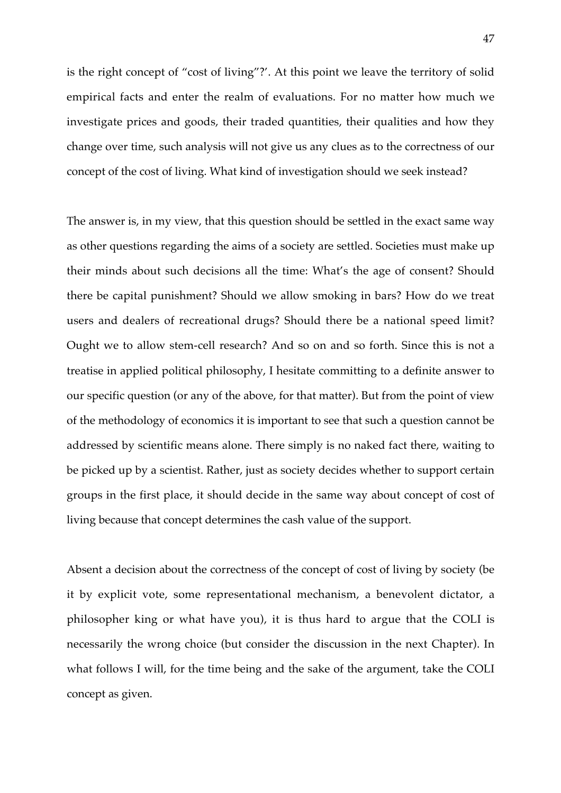is the right concept of "cost of living"?'. At this point we leave the territory of solid empirical facts and enter the realm of evaluations. For no matter how much we investigate prices and goods, their traded quantities, their qualities and how they change over time, such analysis will not give us any clues as to the correctness of our concept of the cost of living. What kind of investigation should we seek instead?

The answer is, in my view, that this question should be settled in the exact same way as other questions regarding the aims of a society are settled. Societies must make up their minds about such decisions all the time: What's the age of consent? Should there be capital punishment? Should we allow smoking in bars? How do we treat users and dealers of recreational drugs? Should there be a national speed limit? Ought we to allow stem-cell research? And so on and so forth. Since this is not a treatise in applied political philosophy, I hesitate committing to a definite answer to our specific question (or any of the above, for that matter). But from the point of view of the methodology of economics it is important to see that such a question cannot be addressed by scientific means alone. There simply is no naked fact there, waiting to be picked up by a scientist. Rather, just as society decides whether to support certain groups in the first place, it should decide in the same way about concept of cost of living because that concept determines the cash value of the support.

Absent a decision about the correctness of the concept of cost of living by society (be it by explicit vote, some representational mechanism, a benevolent dictator, a philosopher king or what have you), it is thus hard to argue that the COLI is necessarily the wrong choice (but consider the discussion in the next Chapter). In what follows I will, for the time being and the sake of the argument, take the COLI concept as given.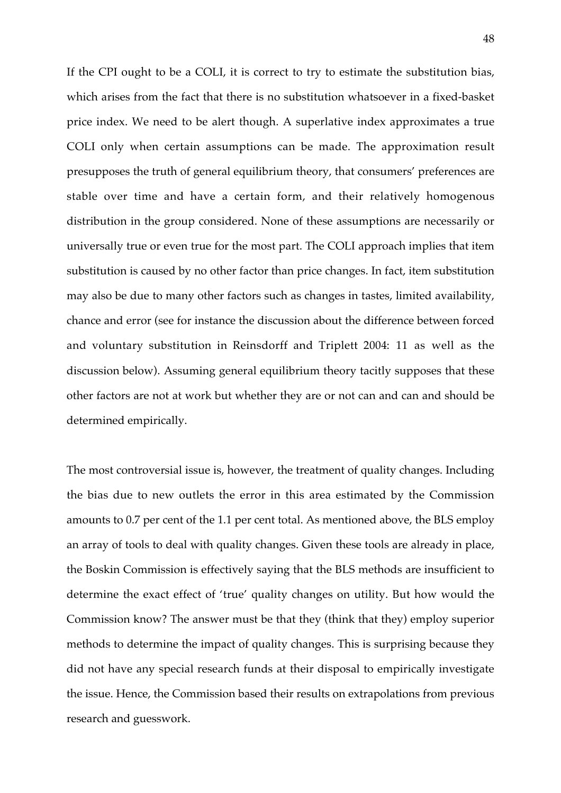If the CPI ought to be a COLI, it is correct to try to estimate the substitution bias, which arises from the fact that there is no substitution whatsoever in a fixed-basket price index. We need to be alert though. A superlative index approximates a true COLI only when certain assumptions can be made. The approximation result presupposes the truth of general equilibrium theory, that consumers' preferences are stable over time and have a certain form, and their relatively homogenous distribution in the group considered. None of these assumptions are necessarily or universally true or even true for the most part. The COLI approach implies that item substitution is caused by no other factor than price changes. In fact, item substitution may also be due to many other factors such as changes in tastes, limited availability, chance and error (see for instance the discussion about the difference between forced and voluntary substitution in Reinsdorff and Triplett 2004: 11 as well as the discussion below). Assuming general equilibrium theory tacitly supposes that these other factors are not at work but whether they are or not can and can and should be determined empirically.

The most controversial issue is, however, the treatment of quality changes. Including the bias due to new outlets the error in this area estimated by the Commission amounts to 0.7 per cent of the 1.1 per cent total. As mentioned above, the BLS employ an array of tools to deal with quality changes. Given these tools are already in place, the Boskin Commission is effectively saying that the BLS methods are insufficient to determine the exact effect of 'true' quality changes on utility. But how would the Commission know? The answer must be that they (think that they) employ superior methods to determine the impact of quality changes. This is surprising because they did not have any special research funds at their disposal to empirically investigate the issue. Hence, the Commission based their results on extrapolations from previous research and guesswork.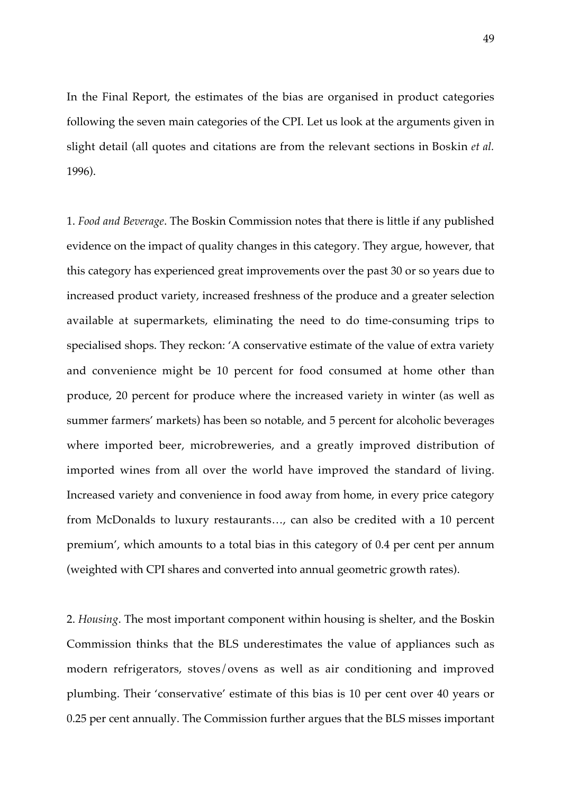In the Final Report, the estimates of the bias are organised in product categories following the seven main categories of the CPI. Let us look at the arguments given in slight detail (all quotes and citations are from the relevant sections in Boskin *et al.* 1996).

1. *Food and Beverage*. The Boskin Commission notes that there is little if any published evidence on the impact of quality changes in this category. They argue, however, that this category has experienced great improvements over the past 30 or so years due to increased product variety, increased freshness of the produce and a greater selection available at supermarkets, eliminating the need to do time-consuming trips to specialised shops. They reckon: 'A conservative estimate of the value of extra variety and convenience might be 10 percent for food consumed at home other than produce, 20 percent for produce where the increased variety in winter (as well as summer farmers' markets) has been so notable, and 5 percent for alcoholic beverages where imported beer, microbreweries, and a greatly improved distribution of imported wines from all over the world have improved the standard of living. Increased variety and convenience in food away from home, in every price category from McDonalds to luxury restaurants…, can also be credited with a 10 percent premium', which amounts to a total bias in this category of 0.4 per cent per annum (weighted with CPI shares and converted into annual geometric growth rates).

2. *Housing*. The most important component within housing is shelter, and the Boskin Commission thinks that the BLS underestimates the value of appliances such as modern refrigerators, stoves/ovens as well as air conditioning and improved plumbing. Their 'conservative' estimate of this bias is 10 per cent over 40 years or 0.25 per cent annually. The Commission further argues that the BLS misses important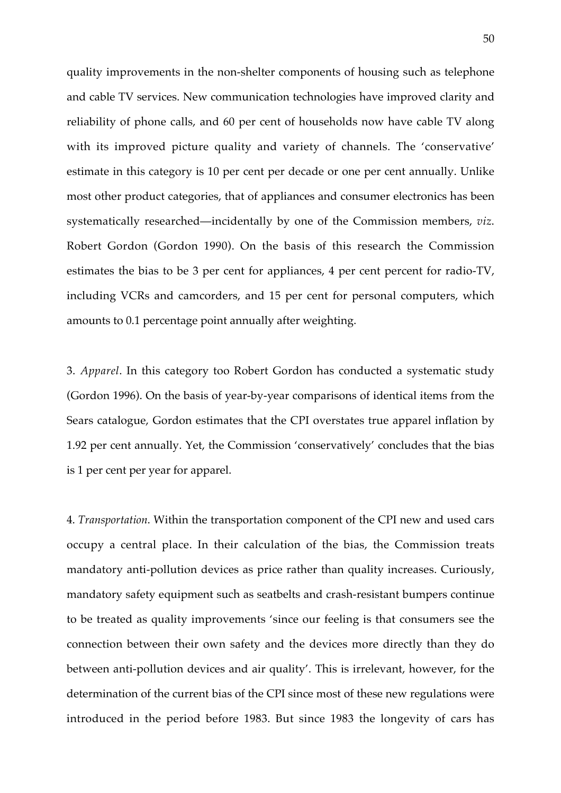quality improvements in the non-shelter components of housing such as telephone and cable TV services. New communication technologies have improved clarity and reliability of phone calls, and 60 per cent of households now have cable TV along with its improved picture quality and variety of channels. The 'conservative' estimate in this category is 10 per cent per decade or one per cent annually. Unlike most other product categories, that of appliances and consumer electronics has been systematically researched—incidentally by one of the Commission members, *viz*. Robert Gordon (Gordon 1990). On the basis of this research the Commission estimates the bias to be 3 per cent for appliances, 4 per cent percent for radio-TV, including VCRs and camcorders, and 15 per cent for personal computers, which amounts to 0.1 percentage point annually after weighting.

3. *Apparel*. In this category too Robert Gordon has conducted a systematic study (Gordon 1996). On the basis of year-by-year comparisons of identical items from the Sears catalogue, Gordon estimates that the CPI overstates true apparel inflation by 1.92 per cent annually. Yet, the Commission 'conservatively' concludes that the bias is 1 per cent per year for apparel.

4. *Transportation*. Within the transportation component of the CPI new and used cars occupy a central place. In their calculation of the bias, the Commission treats mandatory anti-pollution devices as price rather than quality increases. Curiously, mandatory safety equipment such as seatbelts and crash-resistant bumpers continue to be treated as quality improvements 'since our feeling is that consumers see the connection between their own safety and the devices more directly than they do between anti-pollution devices and air quality'. This is irrelevant, however, for the determination of the current bias of the CPI since most of these new regulations were introduced in the period before 1983. But since 1983 the longevity of cars has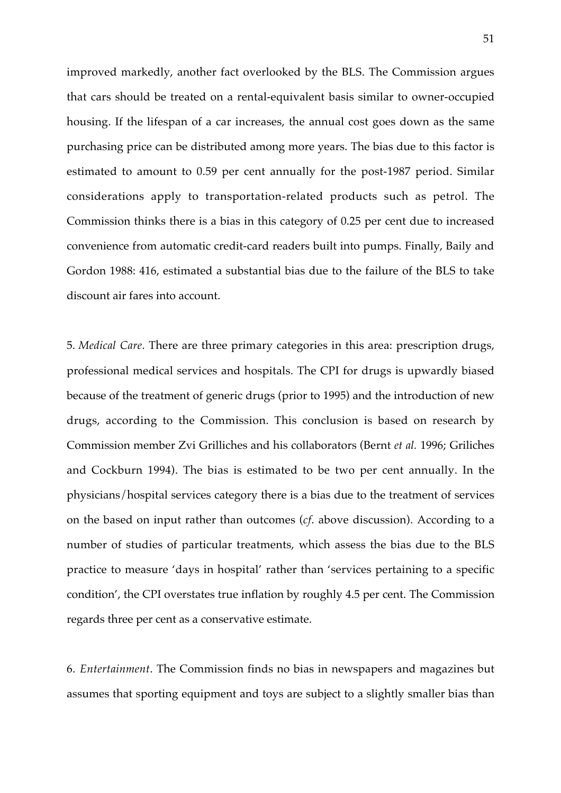improved markedly, another fact overlooked by the BLS. The Commission argues that cars should be treated on a rental-equivalent basis similar to owner-occupied housing. If the lifespan of a car increases, the annual cost goes down as the same purchasing price can be distributed among more years. The bias due to this factor is estimated to amount to 0.59 per cent annually for the post-1987 period. Similar considerations apply to transportation-related products such as petrol. The Commission thinks there is a bias in this category of 0.25 per cent due to increased convenience from automatic credit-card readers built into pumps. Finally, Baily and Gordon 1988: 416, estimated a substantial bias due to the failure of the BLS to take discount air fares into account.

5. *Medical Care*. There are three primary categories in this area: prescription drugs, professional medical services and hospitals. The CPI for drugs is upwardly biased because of the treatment of generic drugs (prior to 1995) and the introduction of new drugs, according to the Commission. This conclusion is based on research by Commission member Zvi Grilliches and his collaborators (Bernt *et al.* 1996; Griliches and Cockburn 1994). The bias is estimated to be two per cent annually. In the physicians/hospital services category there is a bias due to the treatment of services on the based on input rather than outcomes (*cf*. above discussion). According to a number of studies of particular treatments, which assess the bias due to the BLS practice to measure 'days in hospital' rather than 'services pertaining to a specific condition', the CPI overstates true inflation by roughly 4.5 per cent. The Commission regards three per cent as a conservative estimate.

6. *Entertainment*. The Commission finds no bias in newspapers and magazines but assumes that sporting equipment and toys are subject to a slightly smaller bias than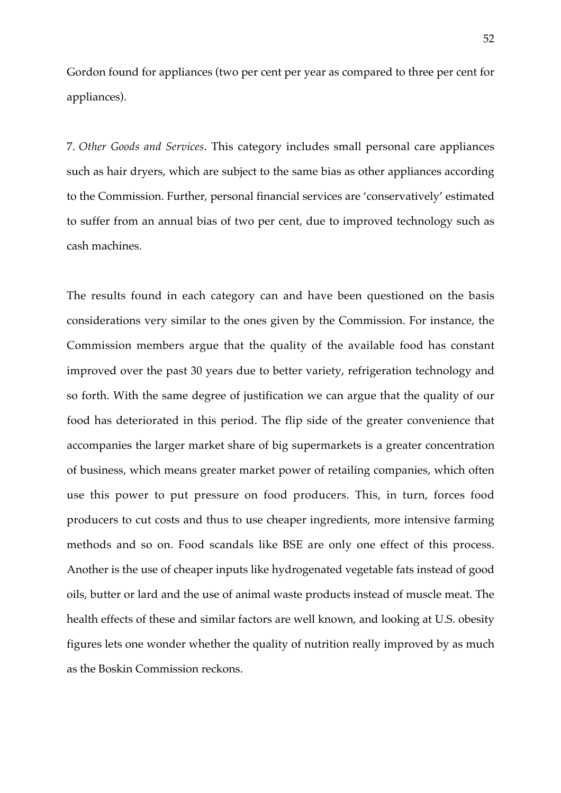Gordon found for appliances (two per cent per year as compared to three per cent for appliances).

7. *Other Goods and Services*. This category includes small personal care appliances such as hair dryers, which are subject to the same bias as other appliances according to the Commission. Further, personal financial services are 'conservatively' estimated to suffer from an annual bias of two per cent, due to improved technology such as cash machines.

The results found in each category can and have been questioned on the basis considerations very similar to the ones given by the Commission. For instance, the Commission members argue that the quality of the available food has constant improved over the past 30 years due to better variety, refrigeration technology and so forth. With the same degree of justification we can argue that the quality of our food has deteriorated in this period. The flip side of the greater convenience that accompanies the larger market share of big supermarkets is a greater concentration of business, which means greater market power of retailing companies, which often use this power to put pressure on food producers. This, in turn, forces food producers to cut costs and thus to use cheaper ingredients, more intensive farming methods and so on. Food scandals like BSE are only one effect of this process. Another is the use of cheaper inputs like hydrogenated vegetable fats instead of good oils, butter or lard and the use of animal waste products instead of muscle meat. The health effects of these and similar factors are well known, and looking at U.S. obesity figures lets one wonder whether the quality of nutrition really improved by as much as the Boskin Commission reckons.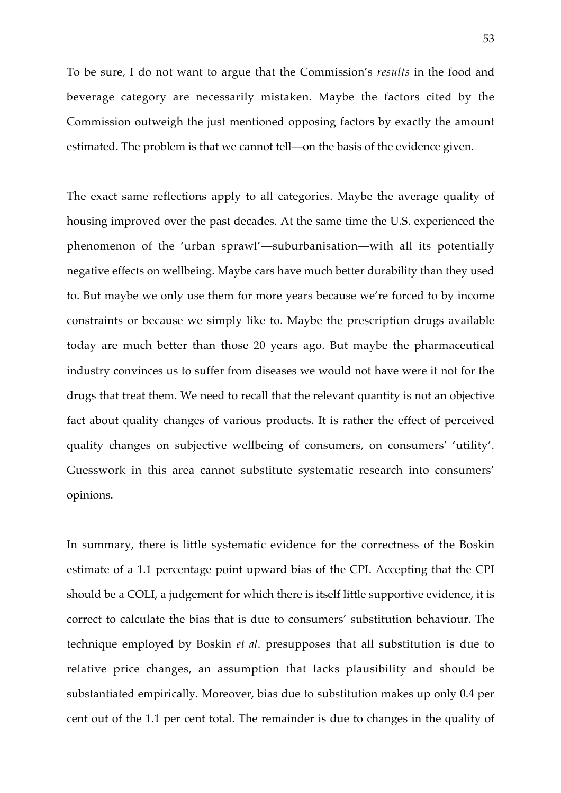To be sure, I do not want to argue that the Commission's *results* in the food and beverage category are necessarily mistaken. Maybe the factors cited by the Commission outweigh the just mentioned opposing factors by exactly the amount estimated. The problem is that we cannot tell—on the basis of the evidence given.

The exact same reflections apply to all categories. Maybe the average quality of housing improved over the past decades. At the same time the U.S. experienced the phenomenon of the 'urban sprawl'—suburbanisation—with all its potentially negative effects on wellbeing. Maybe cars have much better durability than they used to. But maybe we only use them for more years because we're forced to by income constraints or because we simply like to. Maybe the prescription drugs available today are much better than those 20 years ago. But maybe the pharmaceutical industry convinces us to suffer from diseases we would not have were it not for the drugs that treat them. We need to recall that the relevant quantity is not an objective fact about quality changes of various products. It is rather the effect of perceived quality changes on subjective wellbeing of consumers, on consumers' 'utility'. Guesswork in this area cannot substitute systematic research into consumers' opinions.

In summary, there is little systematic evidence for the correctness of the Boskin estimate of a 1.1 percentage point upward bias of the CPI. Accepting that the CPI should be a COLI, a judgement for which there is itself little supportive evidence, it is correct to calculate the bias that is due to consumers' substitution behaviour. The technique employed by Boskin *et al*. presupposes that all substitution is due to relative price changes, an assumption that lacks plausibility and should be substantiated empirically. Moreover, bias due to substitution makes up only 0.4 per cent out of the 1.1 per cent total. The remainder is due to changes in the quality of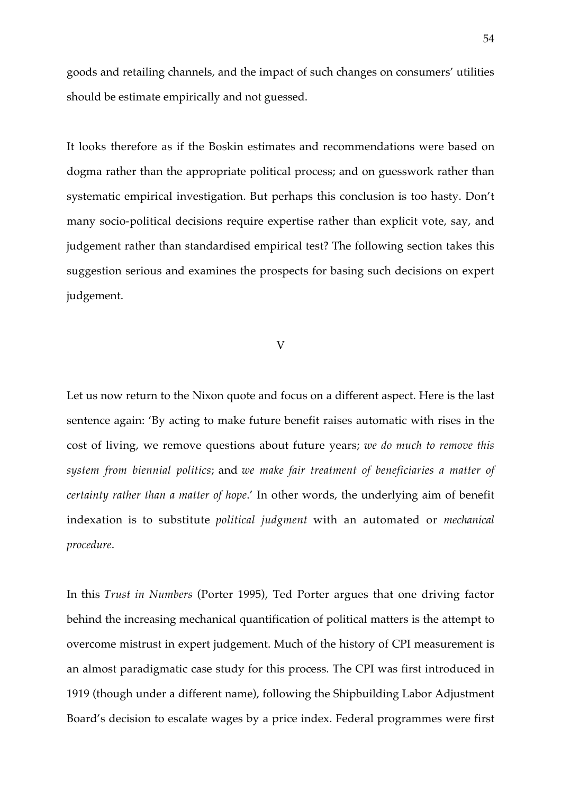goods and retailing channels, and the impact of such changes on consumers' utilities should be estimate empirically and not guessed.

It looks therefore as if the Boskin estimates and recommendations were based on dogma rather than the appropriate political process; and on guesswork rather than systematic empirical investigation. But perhaps this conclusion is too hasty. Don't many socio-political decisions require expertise rather than explicit vote, say, and judgement rather than standardised empirical test? The following section takes this suggestion serious and examines the prospects for basing such decisions on expert judgement.

## V

Let us now return to the Nixon quote and focus on a different aspect. Here is the last sentence again: 'By acting to make future benefit raises automatic with rises in the cost of living, we remove questions about future years; *we do much to remove this system from biennial politics*; and *we make fair treatment of beneficiaries a matter of certainty rather than a matter of hope*.' In other words, the underlying aim of benefit indexation is to substitute *political judgment* with an automated or *mechanical procedure*.

In this *Trust in Numbers* (Porter 1995), Ted Porter argues that one driving factor behind the increasing mechanical quantification of political matters is the attempt to overcome mistrust in expert judgement. Much of the history of CPI measurement is an almost paradigmatic case study for this process. The CPI was first introduced in 1919 (though under a different name), following the Shipbuilding Labor Adjustment Board's decision to escalate wages by a price index. Federal programmes were first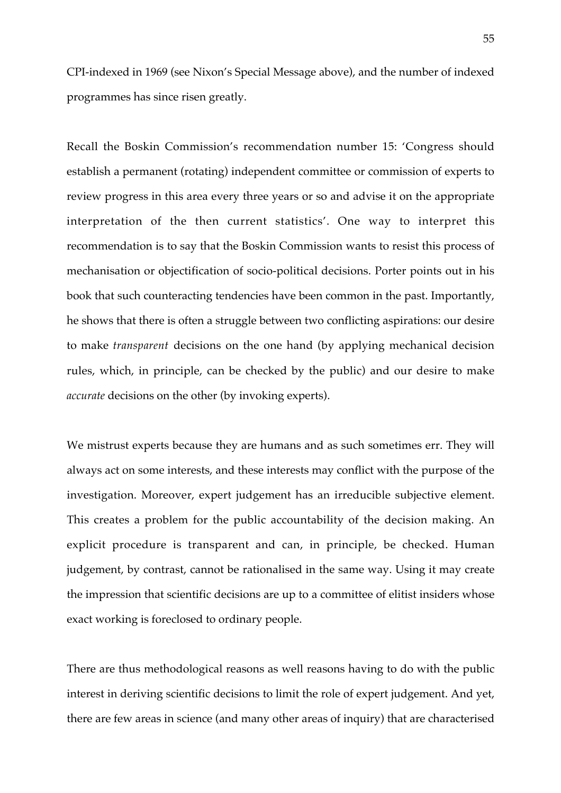CPI-indexed in 1969 (see Nixon's Special Message above), and the number of indexed programmes has since risen greatly.

Recall the Boskin Commission's recommendation number 15: 'Congress should establish a permanent (rotating) independent committee or commission of experts to review progress in this area every three years or so and advise it on the appropriate interpretation of the then current statistics'. One way to interpret this recommendation is to say that the Boskin Commission wants to resist this process of mechanisation or objectification of socio-political decisions. Porter points out in his book that such counteracting tendencies have been common in the past. Importantly, he shows that there is often a struggle between two conflicting aspirations: our desire to make *transparent* decisions on the one hand (by applying mechanical decision rules, which, in principle, can be checked by the public) and our desire to make *accurate* decisions on the other (by invoking experts).

We mistrust experts because they are humans and as such sometimes err. They will always act on some interests, and these interests may conflict with the purpose of the investigation. Moreover, expert judgement has an irreducible subjective element. This creates a problem for the public accountability of the decision making. An explicit procedure is transparent and can, in principle, be checked. Human judgement, by contrast, cannot be rationalised in the same way. Using it may create the impression that scientific decisions are up to a committee of elitist insiders whose exact working is foreclosed to ordinary people.

There are thus methodological reasons as well reasons having to do with the public interest in deriving scientific decisions to limit the role of expert judgement. And yet, there are few areas in science (and many other areas of inquiry) that are characterised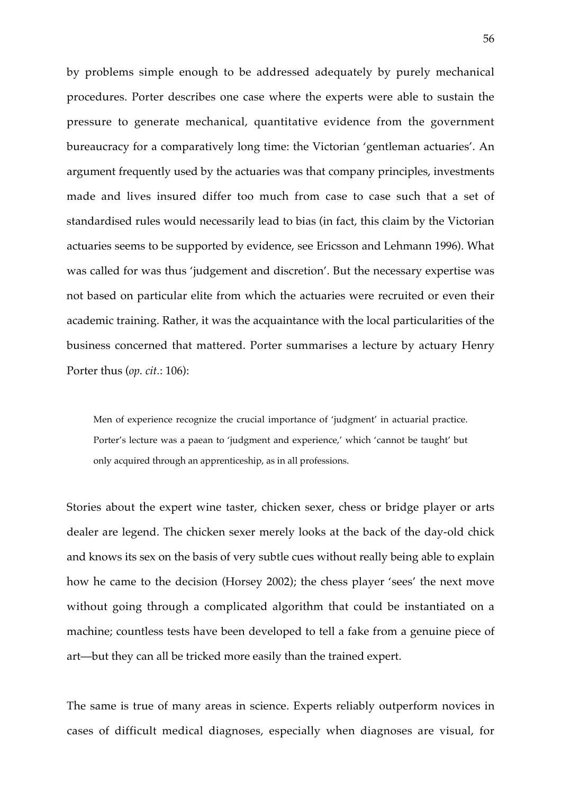by problems simple enough to be addressed adequately by purely mechanical procedures. Porter describes one case where the experts were able to sustain the pressure to generate mechanical, quantitative evidence from the government bureaucracy for a comparatively long time: the Victorian 'gentleman actuaries'. An argument frequently used by the actuaries was that company principles, investments made and lives insured differ too much from case to case such that a set of standardised rules would necessarily lead to bias (in fact, this claim by the Victorian actuaries seems to be supported by evidence, see Ericsson and Lehmann 1996). What was called for was thus 'judgement and discretion'. But the necessary expertise was not based on particular elite from which the actuaries were recruited or even their academic training. Rather, it was the acquaintance with the local particularities of the business concerned that mattered. Porter summarises a lecture by actuary Henry Porter thus (*op. cit.*: 106):

Men of experience recognize the crucial importance of 'judgment' in actuarial practice. Porter's lecture was a paean to 'judgment and experience,' which 'cannot be taught' but only acquired through an apprenticeship, as in all professions.

Stories about the expert wine taster, chicken sexer, chess or bridge player or arts dealer are legend. The chicken sexer merely looks at the back of the day-old chick and knows its sex on the basis of very subtle cues without really being able to explain how he came to the decision (Horsey 2002); the chess player 'sees' the next move without going through a complicated algorithm that could be instantiated on a machine; countless tests have been developed to tell a fake from a genuine piece of art—but they can all be tricked more easily than the trained expert.

The same is true of many areas in science. Experts reliably outperform novices in cases of difficult medical diagnoses, especially when diagnoses are visual, for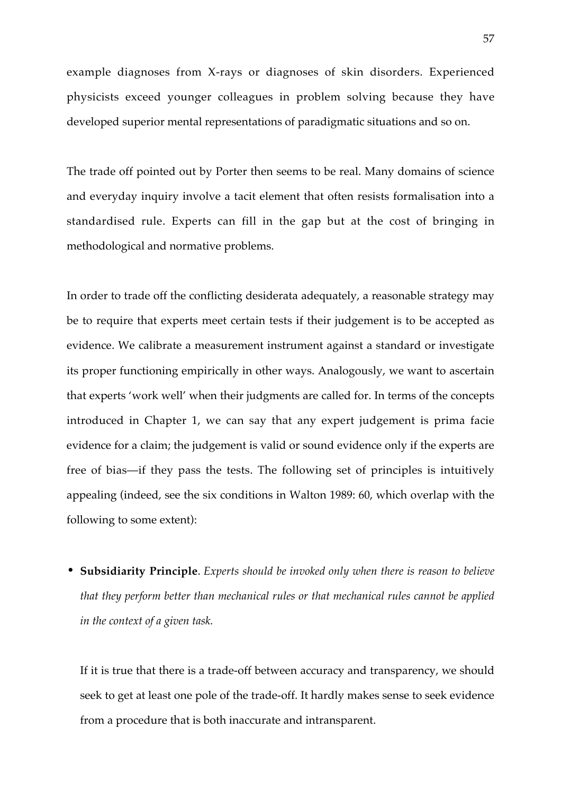example diagnoses from X-rays or diagnoses of skin disorders. Experienced physicists exceed younger colleagues in problem solving because they have developed superior mental representations of paradigmatic situations and so on.

The trade off pointed out by Porter then seems to be real. Many domains of science and everyday inquiry involve a tacit element that often resists formalisation into a standardised rule. Experts can fill in the gap but at the cost of bringing in methodological and normative problems.

In order to trade off the conflicting desiderata adequately, a reasonable strategy may be to require that experts meet certain tests if their judgement is to be accepted as evidence. We calibrate a measurement instrument against a standard or investigate its proper functioning empirically in other ways. Analogously, we want to ascertain that experts 'work well' when their judgments are called for. In terms of the concepts introduced in Chapter 1, we can say that any expert judgement is prima facie evidence for a claim; the judgement is valid or sound evidence only if the experts are free of bias—if they pass the tests. The following set of principles is intuitively appealing (indeed, see the six conditions in Walton 1989: 60, which overlap with the following to some extent):

• **Subsidiarity Principle**. *Experts should be invoked only when there is reason to believe that they perform better than mechanical rules or that mechanical rules cannot be applied in the context of a given task.*

If it is true that there is a trade-off between accuracy and transparency, we should seek to get at least one pole of the trade-off. It hardly makes sense to seek evidence from a procedure that is both inaccurate and intransparent.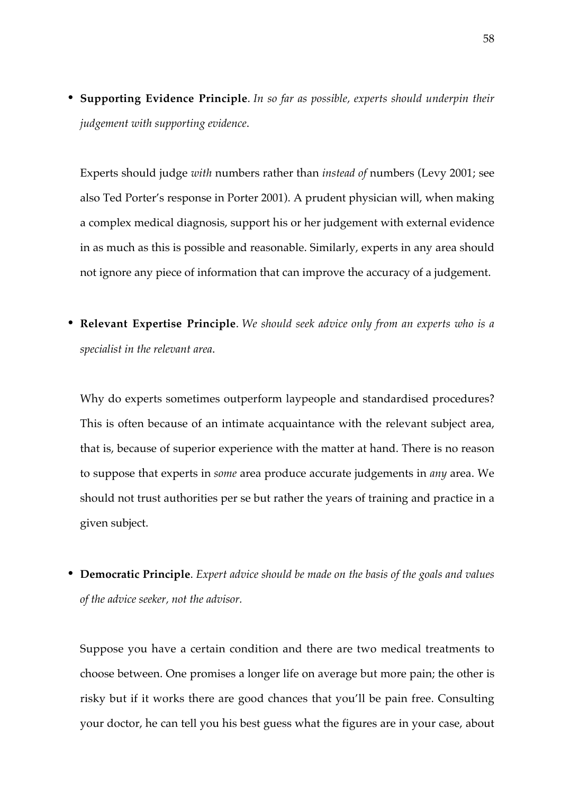• **Supporting Evidence Principle**. *In so far as possible, experts should underpin their judgement with supporting evidence*.

Experts should judge *with* numbers rather than *instead of* numbers (Levy 2001; see also Ted Porter's response in Porter 2001). A prudent physician will, when making a complex medical diagnosis, support his or her judgement with external evidence in as much as this is possible and reasonable. Similarly, experts in any area should not ignore any piece of information that can improve the accuracy of a judgement.

• **Relevant Expertise Principle**. *We should seek advice only from an experts who is a specialist in the relevant area*.

Why do experts sometimes outperform laypeople and standardised procedures? This is often because of an intimate acquaintance with the relevant subject area, that is, because of superior experience with the matter at hand. There is no reason to suppose that experts in *some* area produce accurate judgements in *any* area. We should not trust authorities per se but rather the years of training and practice in a given subject.

• **Democratic Principle**. *Expert advice should be made on the basis of the goals and values of the advice seeker, not the advisor.*

Suppose you have a certain condition and there are two medical treatments to choose between. One promises a longer life on average but more pain; the other is risky but if it works there are good chances that you'll be pain free. Consulting your doctor, he can tell you his best guess what the figures are in your case, about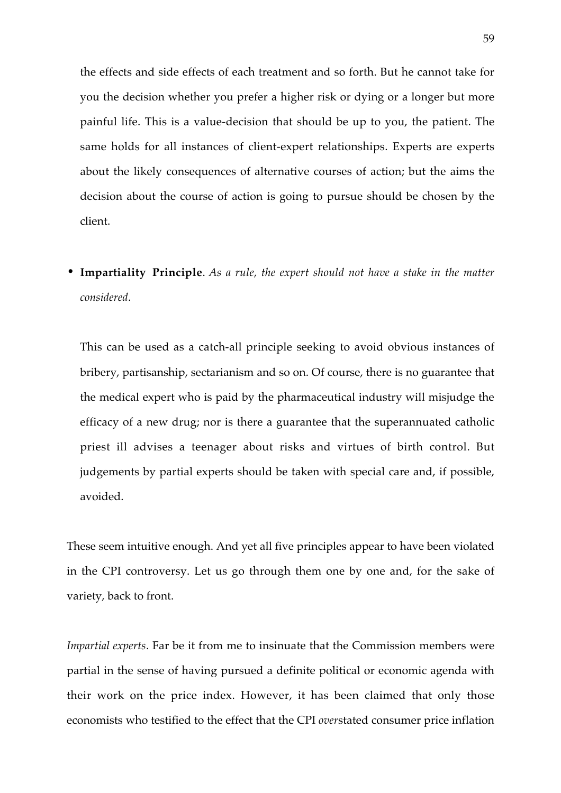the effects and side effects of each treatment and so forth. But he cannot take for you the decision whether you prefer a higher risk or dying or a longer but more painful life. This is a value-decision that should be up to you, the patient. The same holds for all instances of client-expert relationships. Experts are experts about the likely consequences of alternative courses of action; but the aims the decision about the course of action is going to pursue should be chosen by the client.

• **Impartiality Principle**. *As a rule, the expert should not have a stake in the matter considered*.

This can be used as a catch-all principle seeking to avoid obvious instances of bribery, partisanship, sectarianism and so on. Of course, there is no guarantee that the medical expert who is paid by the pharmaceutical industry will misjudge the efficacy of a new drug; nor is there a guarantee that the superannuated catholic priest ill advises a teenager about risks and virtues of birth control. But judgements by partial experts should be taken with special care and, if possible, avoided.

These seem intuitive enough. And yet all five principles appear to have been violated in the CPI controversy. Let us go through them one by one and, for the sake of variety, back to front.

*Impartial experts*. Far be it from me to insinuate that the Commission members were partial in the sense of having pursued a definite political or economic agenda with their work on the price index. However, it has been claimed that only those economists who testified to the effect that the CPI *over*stated consumer price inflation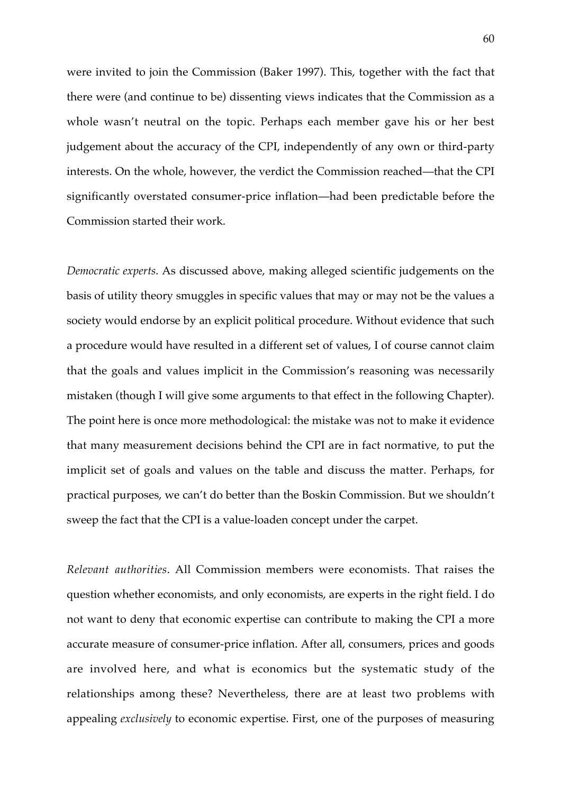were invited to join the Commission (Baker 1997). This, together with the fact that there were (and continue to be) dissenting views indicates that the Commission as a whole wasn't neutral on the topic. Perhaps each member gave his or her best judgement about the accuracy of the CPI, independently of any own or third-party interests. On the whole, however, the verdict the Commission reached—that the CPI significantly overstated consumer-price inflation—had been predictable before the Commission started their work.

*Democratic experts*. As discussed above, making alleged scientific judgements on the basis of utility theory smuggles in specific values that may or may not be the values a society would endorse by an explicit political procedure. Without evidence that such a procedure would have resulted in a different set of values, I of course cannot claim that the goals and values implicit in the Commission's reasoning was necessarily mistaken (though I will give some arguments to that effect in the following Chapter). The point here is once more methodological: the mistake was not to make it evidence that many measurement decisions behind the CPI are in fact normative, to put the implicit set of goals and values on the table and discuss the matter. Perhaps, for practical purposes, we can't do better than the Boskin Commission. But we shouldn't sweep the fact that the CPI is a value-loaden concept under the carpet.

*Relevant authorities*. All Commission members were economists. That raises the question whether economists, and only economists, are experts in the right field. I do not want to deny that economic expertise can contribute to making the CPI a more accurate measure of consumer-price inflation. After all, consumers, prices and goods are involved here, and what is economics but the systematic study of the relationships among these? Nevertheless, there are at least two problems with appealing *exclusively* to economic expertise. First, one of the purposes of measuring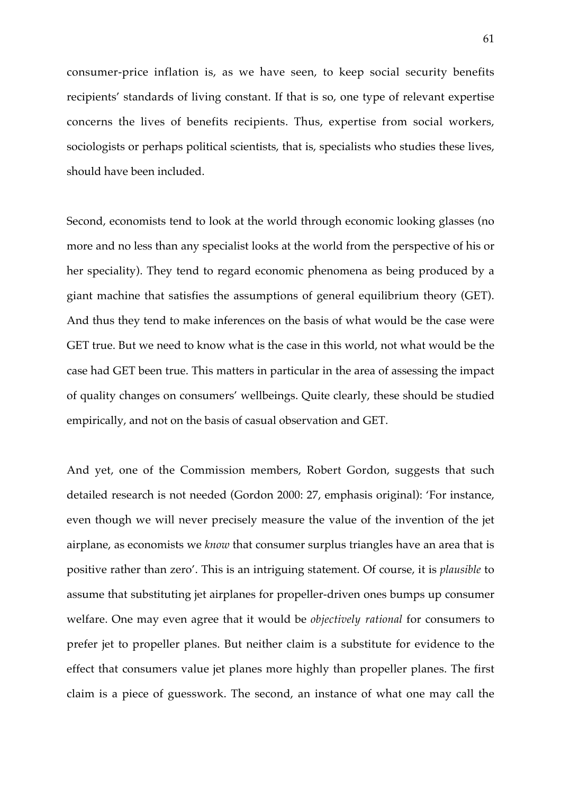consumer-price inflation is, as we have seen, to keep social security benefits recipients' standards of living constant. If that is so, one type of relevant expertise concerns the lives of benefits recipients. Thus, expertise from social workers, sociologists or perhaps political scientists, that is, specialists who studies these lives, should have been included.

Second, economists tend to look at the world through economic looking glasses (no more and no less than any specialist looks at the world from the perspective of his or her speciality). They tend to regard economic phenomena as being produced by a giant machine that satisfies the assumptions of general equilibrium theory (GET). And thus they tend to make inferences on the basis of what would be the case were GET true. But we need to know what is the case in this world, not what would be the case had GET been true. This matters in particular in the area of assessing the impact of quality changes on consumers' wellbeings. Quite clearly, these should be studied empirically, and not on the basis of casual observation and GET.

And yet, one of the Commission members, Robert Gordon, suggests that such detailed research is not needed (Gordon 2000: 27, emphasis original): 'For instance, even though we will never precisely measure the value of the invention of the jet airplane, as economists we *know* that consumer surplus triangles have an area that is positive rather than zero'. This is an intriguing statement. Of course, it is *plausible* to assume that substituting jet airplanes for propeller-driven ones bumps up consumer welfare. One may even agree that it would be *objectively rational* for consumers to prefer jet to propeller planes. But neither claim is a substitute for evidence to the effect that consumers value jet planes more highly than propeller planes. The first claim is a piece of guesswork. The second, an instance of what one may call the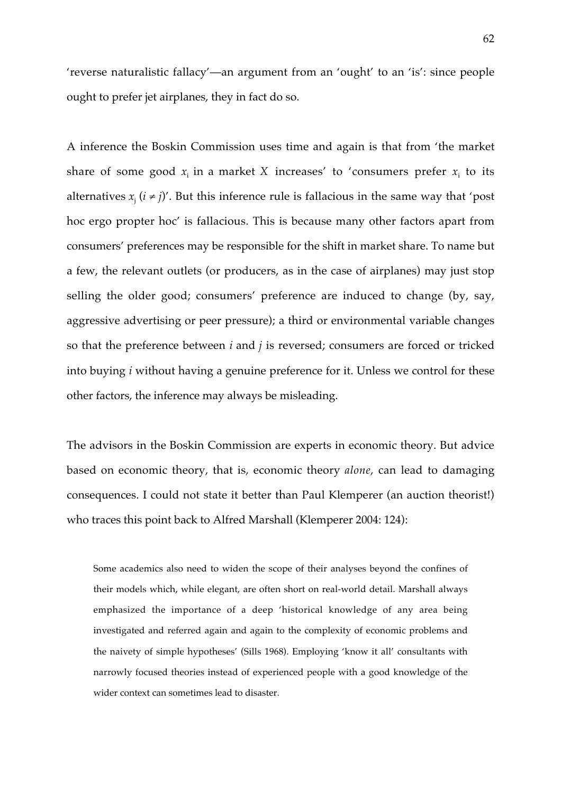'reverse naturalistic fallacy'—an argument from an 'ought' to an 'is': since people ought to prefer jet airplanes, they in fact do so.

A inference the Boskin Commission uses time and again is that from 'the market share of some good  $x_i$  in a market *X* increases' to 'consumers prefer  $x_i$  to its alternatives  $x_i$  ( $i \neq j$ )'. But this inference rule is fallacious in the same way that 'post hoc ergo propter hoc' is fallacious. This is because many other factors apart from consumers' preferences may be responsible for the shift in market share. To name but a few, the relevant outlets (or producers, as in the case of airplanes) may just stop selling the older good; consumers' preference are induced to change (by, say, aggressive advertising or peer pressure); a third or environmental variable changes so that the preference between *i* and *j* is reversed; consumers are forced or tricked into buying *i* without having a genuine preference for it. Unless we control for these other factors, the inference may always be misleading.

The advisors in the Boskin Commission are experts in economic theory. But advice based on economic theory, that is, economic theory *alone*, can lead to damaging consequences. I could not state it better than Paul Klemperer (an auction theorist!) who traces this point back to Alfred Marshall (Klemperer 2004: 124):

Some academics also need to widen the scope of their analyses beyond the confines of their models which, while elegant, are often short on real-world detail. Marshall always emphasized the importance of a deep 'historical knowledge of any area being investigated and referred again and again to the complexity of economic problems and the naivety of simple hypotheses' (Sills 1968). Employing 'know it all' consultants with narrowly focused theories instead of experienced people with a good knowledge of the wider context can sometimes lead to disaster.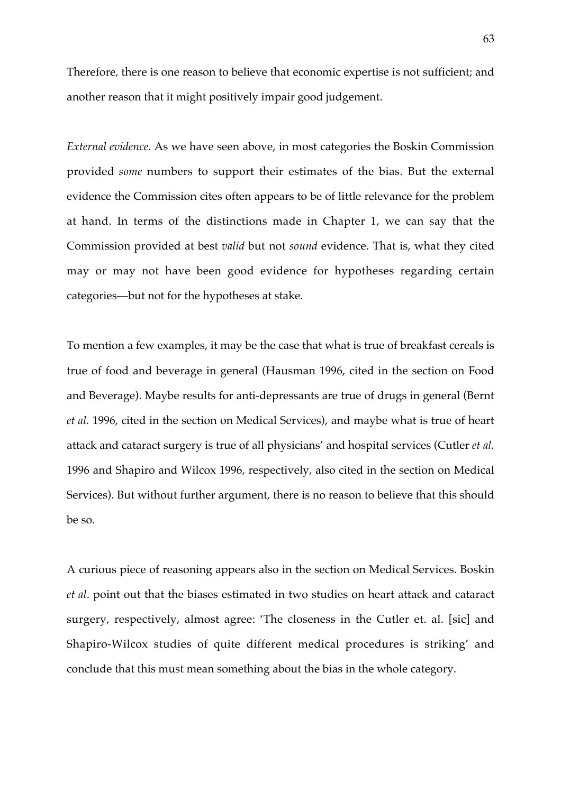Therefore, there is one reason to believe that economic expertise is not sufficient; and another reason that it might positively impair good judgement.

*External evidence*. As we have seen above, in most categories the Boskin Commission provided *some* numbers to support their estimates of the bias. But the external evidence the Commission cites often appears to be of little relevance for the problem at hand. In terms of the distinctions made in Chapter 1, we can say that the Commission provided at best *valid* but not *sound* evidence. That is, what they cited may or may not have been good evidence for hypotheses regarding certain categories—but not for the hypotheses at stake.

To mention a few examples, it may be the case that what is true of breakfast cereals is true of food and beverage in general (Hausman 1996, cited in the section on Food and Beverage). Maybe results for anti-depressants are true of drugs in general (Bernt *et al.* 1996, cited in the section on Medical Services), and maybe what is true of heart attack and cataract surgery is true of all physicians' and hospital services (Cutler *et al.* 1996 and Shapiro and Wilcox 1996, respectively, also cited in the section on Medical Services). But without further argument, there is no reason to believe that this should be so.

A curious piece of reasoning appears also in the section on Medical Services. Boskin *et al*. point out that the biases estimated in two studies on heart attack and cataract surgery, respectively, almost agree: 'The closeness in the Cutler et. al. [sic] and Shapiro-Wilcox studies of quite different medical procedures is striking' and conclude that this must mean something about the bias in the whole category.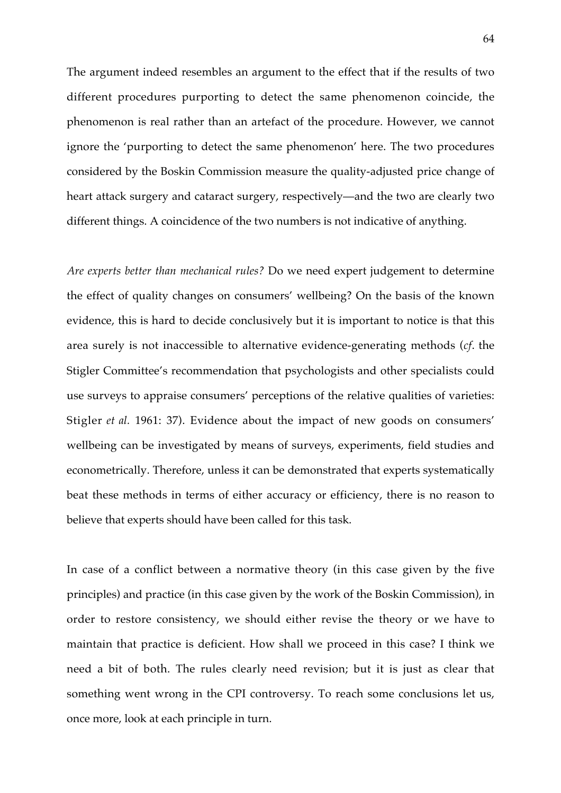The argument indeed resembles an argument to the effect that if the results of two different procedures purporting to detect the same phenomenon coincide, the phenomenon is real rather than an artefact of the procedure. However, we cannot ignore the 'purporting to detect the same phenomenon' here. The two procedures considered by the Boskin Commission measure the quality-adjusted price change of heart attack surgery and cataract surgery, respectively—and the two are clearly two different things. A coincidence of the two numbers is not indicative of anything.

*Are experts better than mechanical rules?* Do we need expert judgement to determine the effect of quality changes on consumers' wellbeing? On the basis of the known evidence, this is hard to decide conclusively but it is important to notice is that this area surely is not inaccessible to alternative evidence-generating methods (*cf*. the Stigler Committee's recommendation that psychologists and other specialists could use surveys to appraise consumers' perceptions of the relative qualities of varieties: Stigler *et al.* 1961: 37). Evidence about the impact of new goods on consumers' wellbeing can be investigated by means of surveys, experiments, field studies and econometrically. Therefore, unless it can be demonstrated that experts systematically beat these methods in terms of either accuracy or efficiency, there is no reason to believe that experts should have been called for this task.

In case of a conflict between a normative theory (in this case given by the five principles) and practice (in this case given by the work of the Boskin Commission), in order to restore consistency, we should either revise the theory or we have to maintain that practice is deficient. How shall we proceed in this case? I think we need a bit of both. The rules clearly need revision; but it is just as clear that something went wrong in the CPI controversy. To reach some conclusions let us, once more, look at each principle in turn.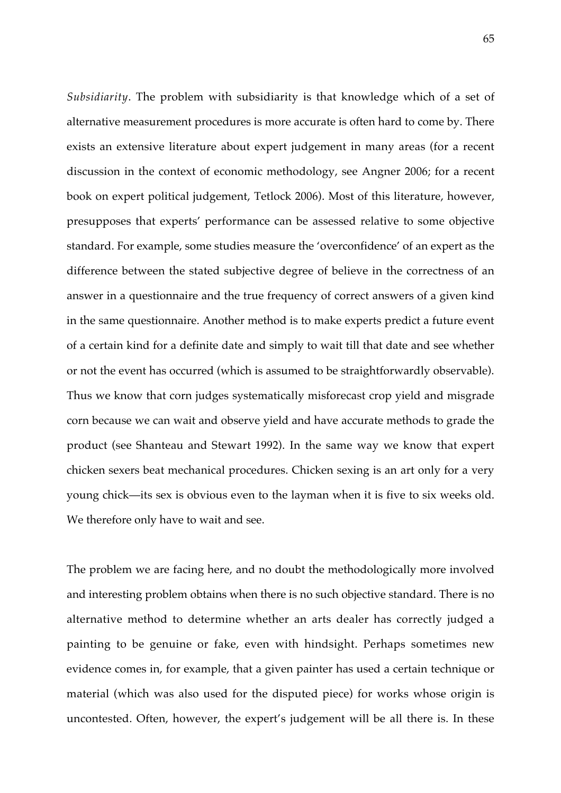*Subsidiarity*. The problem with subsidiarity is that knowledge which of a set of alternative measurement procedures is more accurate is often hard to come by. There exists an extensive literature about expert judgement in many areas (for a recent discussion in the context of economic methodology, see Angner 2006; for a recent book on expert political judgement, Tetlock 2006). Most of this literature, however, presupposes that experts' performance can be assessed relative to some objective standard. For example, some studies measure the 'overconfidence' of an expert as the difference between the stated subjective degree of believe in the correctness of an answer in a questionnaire and the true frequency of correct answers of a given kind in the same questionnaire. Another method is to make experts predict a future event of a certain kind for a definite date and simply to wait till that date and see whether or not the event has occurred (which is assumed to be straightforwardly observable). Thus we know that corn judges systematically misforecast crop yield and misgrade corn because we can wait and observe yield and have accurate methods to grade the product (see Shanteau and Stewart 1992). In the same way we know that expert chicken sexers beat mechanical procedures. Chicken sexing is an art only for a very young chick—its sex is obvious even to the layman when it is five to six weeks old. We therefore only have to wait and see.

The problem we are facing here, and no doubt the methodologically more involved and interesting problem obtains when there is no such objective standard. There is no alternative method to determine whether an arts dealer has correctly judged a painting to be genuine or fake, even with hindsight. Perhaps sometimes new evidence comes in, for example, that a given painter has used a certain technique or material (which was also used for the disputed piece) for works whose origin is uncontested. Often, however, the expert's judgement will be all there is. In these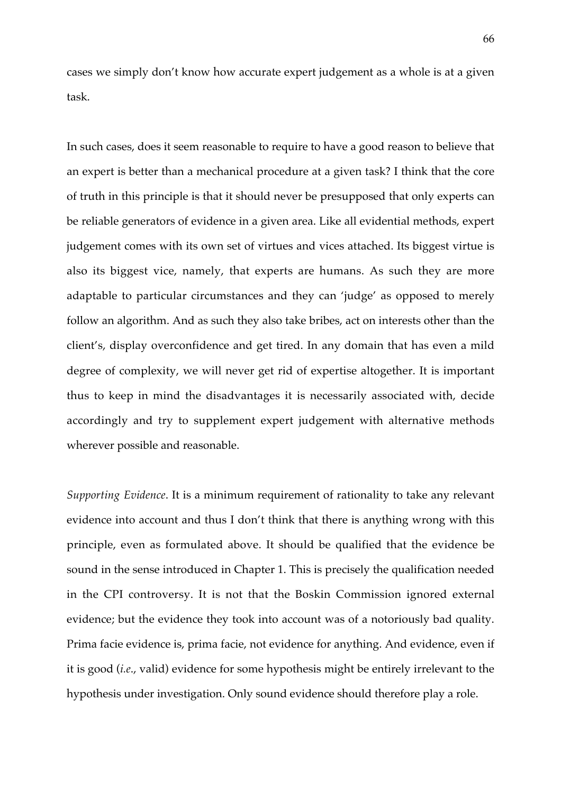cases we simply don't know how accurate expert judgement as a whole is at a given task.

In such cases, does it seem reasonable to require to have a good reason to believe that an expert is better than a mechanical procedure at a given task? I think that the core of truth in this principle is that it should never be presupposed that only experts can be reliable generators of evidence in a given area. Like all evidential methods, expert judgement comes with its own set of virtues and vices attached. Its biggest virtue is also its biggest vice, namely, that experts are humans. As such they are more adaptable to particular circumstances and they can 'judge' as opposed to merely follow an algorithm. And as such they also take bribes, act on interests other than the client's, display overconfidence and get tired. In any domain that has even a mild degree of complexity, we will never get rid of expertise altogether. It is important thus to keep in mind the disadvantages it is necessarily associated with, decide accordingly and try to supplement expert judgement with alternative methods wherever possible and reasonable.

*Supporting Evidence*. It is a minimum requirement of rationality to take any relevant evidence into account and thus I don't think that there is anything wrong with this principle, even as formulated above. It should be qualified that the evidence be sound in the sense introduced in Chapter 1. This is precisely the qualification needed in the CPI controversy. It is not that the Boskin Commission ignored external evidence; but the evidence they took into account was of a notoriously bad quality. Prima facie evidence is, prima facie, not evidence for anything. And evidence, even if it is good (*i.e*., valid) evidence for some hypothesis might be entirely irrelevant to the hypothesis under investigation. Only sound evidence should therefore play a role.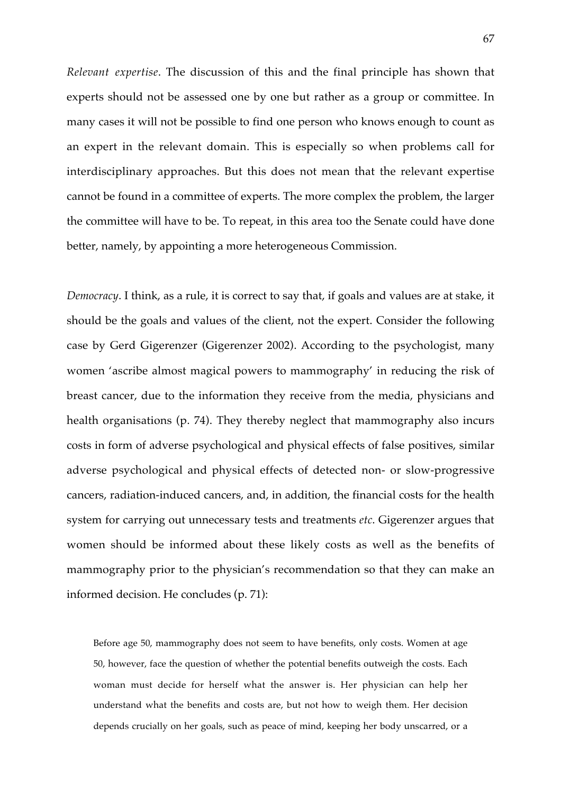*Relevant expertise*. The discussion of this and the final principle has shown that experts should not be assessed one by one but rather as a group or committee. In many cases it will not be possible to find one person who knows enough to count as an expert in the relevant domain. This is especially so when problems call for interdisciplinary approaches. But this does not mean that the relevant expertise cannot be found in a committee of experts. The more complex the problem, the larger the committee will have to be. To repeat, in this area too the Senate could have done better, namely, by appointing a more heterogeneous Commission.

*Democracy*. I think, as a rule, it is correct to say that, if goals and values are at stake, it should be the goals and values of the client, not the expert. Consider the following case by Gerd Gigerenzer (Gigerenzer 2002). According to the psychologist, many women 'ascribe almost magical powers to mammography' in reducing the risk of breast cancer, due to the information they receive from the media, physicians and health organisations (p. 74). They thereby neglect that mammography also incurs costs in form of adverse psychological and physical effects of false positives, similar adverse psychological and physical effects of detected non- or slow-progressive cancers, radiation-induced cancers, and, in addition, the financial costs for the health system for carrying out unnecessary tests and treatments *etc*. Gigerenzer argues that women should be informed about these likely costs as well as the benefits of mammography prior to the physician's recommendation so that they can make an informed decision. He concludes (p. 71):

Before age 50, mammography does not seem to have benefits, only costs. Women at age 50, however, face the question of whether the potential benefits outweigh the costs. Each woman must decide for herself what the answer is. Her physician can help her understand what the benefits and costs are, but not how to weigh them. Her decision depends crucially on her goals, such as peace of mind, keeping her body unscarred, or a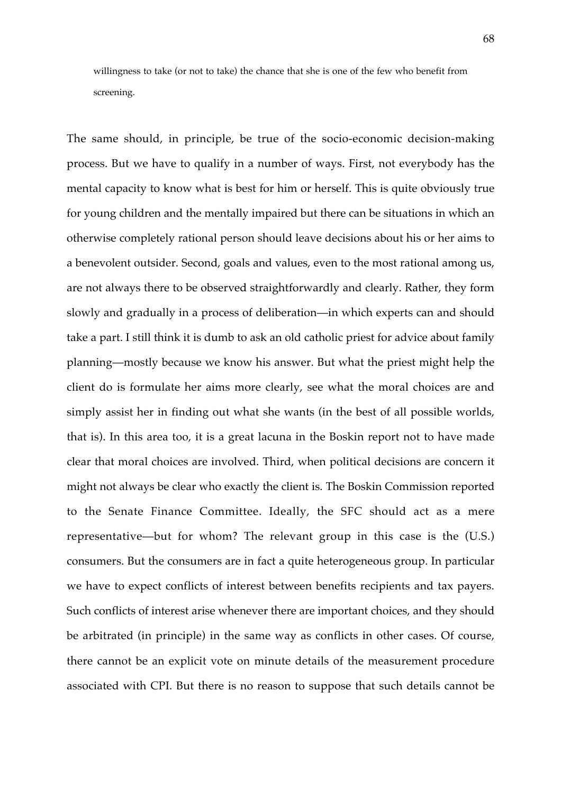willingness to take (or not to take) the chance that she is one of the few who benefit from screening.

The same should, in principle, be true of the socio-economic decision-making process. But we have to qualify in a number of ways. First, not everybody has the mental capacity to know what is best for him or herself. This is quite obviously true for young children and the mentally impaired but there can be situations in which an otherwise completely rational person should leave decisions about his or her aims to a benevolent outsider. Second, goals and values, even to the most rational among us, are not always there to be observed straightforwardly and clearly. Rather, they form slowly and gradually in a process of deliberation—in which experts can and should take a part. I still think it is dumb to ask an old catholic priest for advice about family planning—mostly because we know his answer. But what the priest might help the client do is formulate her aims more clearly, see what the moral choices are and simply assist her in finding out what she wants (in the best of all possible worlds, that is). In this area too, it is a great lacuna in the Boskin report not to have made clear that moral choices are involved. Third, when political decisions are concern it might not always be clear who exactly the client is. The Boskin Commission reported to the Senate Finance Committee. Ideally, the SFC should act as a mere representative—but for whom? The relevant group in this case is the (U.S.) consumers. But the consumers are in fact a quite heterogeneous group. In particular we have to expect conflicts of interest between benefits recipients and tax payers. Such conflicts of interest arise whenever there are important choices, and they should be arbitrated (in principle) in the same way as conflicts in other cases. Of course, there cannot be an explicit vote on minute details of the measurement procedure associated with CPI. But there is no reason to suppose that such details cannot be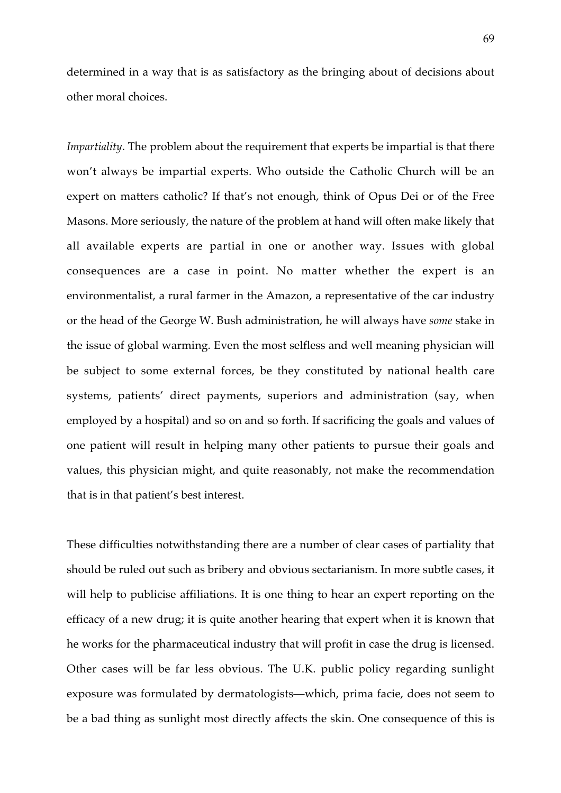determined in a way that is as satisfactory as the bringing about of decisions about other moral choices.

*Impartiality*. The problem about the requirement that experts be impartial is that there won't always be impartial experts. Who outside the Catholic Church will be an expert on matters catholic? If that's not enough, think of Opus Dei or of the Free Masons. More seriously, the nature of the problem at hand will often make likely that all available experts are partial in one or another way. Issues with global consequences are a case in point. No matter whether the expert is an environmentalist, a rural farmer in the Amazon, a representative of the car industry or the head of the George W. Bush administration, he will always have *some* stake in the issue of global warming. Even the most selfless and well meaning physician will be subject to some external forces, be they constituted by national health care systems, patients' direct payments, superiors and administration (say, when employed by a hospital) and so on and so forth. If sacrificing the goals and values of one patient will result in helping many other patients to pursue their goals and values, this physician might, and quite reasonably, not make the recommendation that is in that patient's best interest.

These difficulties notwithstanding there are a number of clear cases of partiality that should be ruled out such as bribery and obvious sectarianism. In more subtle cases, it will help to publicise affiliations. It is one thing to hear an expert reporting on the efficacy of a new drug; it is quite another hearing that expert when it is known that he works for the pharmaceutical industry that will profit in case the drug is licensed. Other cases will be far less obvious. The U.K. public policy regarding sunlight exposure was formulated by dermatologists—which, prima facie, does not seem to be a bad thing as sunlight most directly affects the skin. One consequence of this is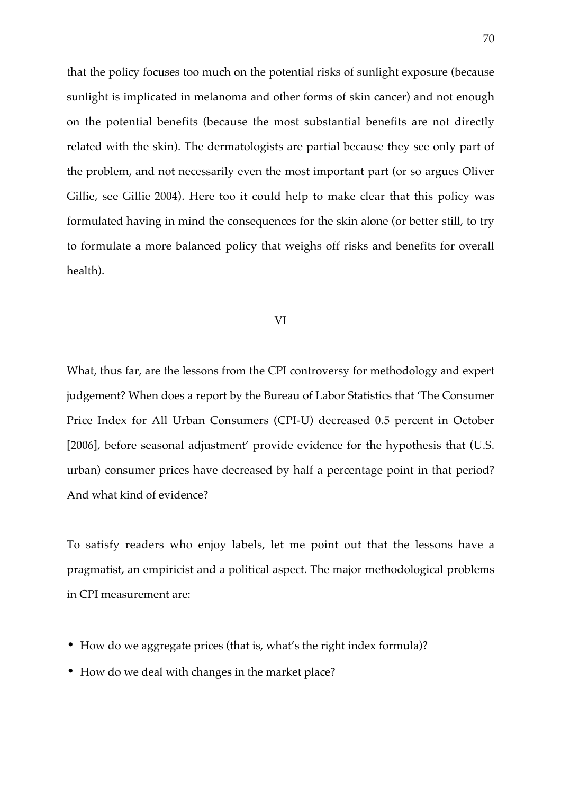that the policy focuses too much on the potential risks of sunlight exposure (because sunlight is implicated in melanoma and other forms of skin cancer) and not enough on the potential benefits (because the most substantial benefits are not directly related with the skin). The dermatologists are partial because they see only part of the problem, and not necessarily even the most important part (or so argues Oliver Gillie, see Gillie 2004). Here too it could help to make clear that this policy was formulated having in mind the consequences for the skin alone (or better still, to try to formulate a more balanced policy that weighs off risks and benefits for overall health).

#### VI

What, thus far, are the lessons from the CPI controversy for methodology and expert judgement? When does a report by the Bureau of Labor Statistics that 'The Consumer Price Index for All Urban Consumers (CPI-U) decreased 0.5 percent in October [2006], before seasonal adjustment' provide evidence for the hypothesis that (U.S. urban) consumer prices have decreased by half a percentage point in that period? And what kind of evidence?

To satisfy readers who enjoy labels, let me point out that the lessons have a pragmatist, an empiricist and a political aspect. The major methodological problems in CPI measurement are:

- How do we aggregate prices (that is, what's the right index formula)?
- How do we deal with changes in the market place?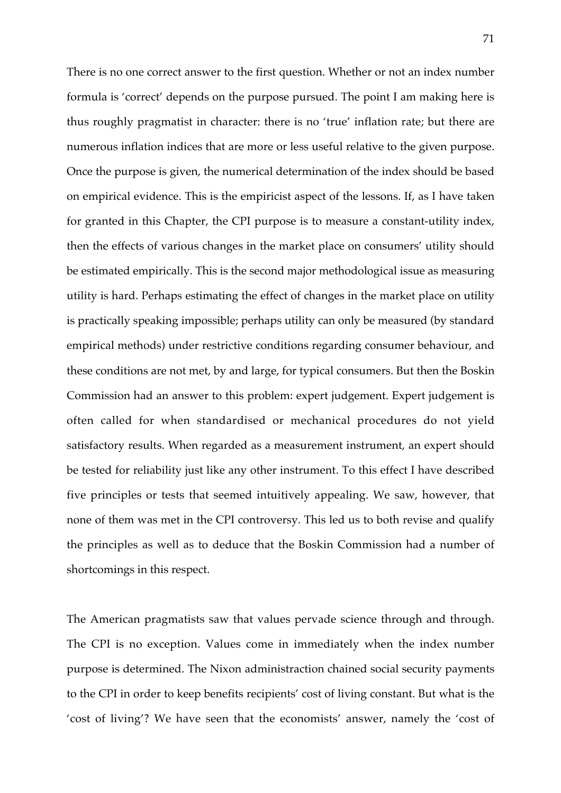There is no one correct answer to the first question. Whether or not an index number formula is 'correct' depends on the purpose pursued. The point I am making here is thus roughly pragmatist in character: there is no 'true' inflation rate; but there are numerous inflation indices that are more or less useful relative to the given purpose. Once the purpose is given, the numerical determination of the index should be based on empirical evidence. This is the empiricist aspect of the lessons. If, as I have taken for granted in this Chapter, the CPI purpose is to measure a constant-utility index, then the effects of various changes in the market place on consumers' utility should be estimated empirically. This is the second major methodological issue as measuring utility is hard. Perhaps estimating the effect of changes in the market place on utility is practically speaking impossible; perhaps utility can only be measured (by standard empirical methods) under restrictive conditions regarding consumer behaviour, and these conditions are not met, by and large, for typical consumers. But then the Boskin Commission had an answer to this problem: expert judgement. Expert judgement is often called for when standardised or mechanical procedures do not yield satisfactory results. When regarded as a measurement instrument, an expert should be tested for reliability just like any other instrument. To this effect I have described five principles or tests that seemed intuitively appealing. We saw, however, that none of them was met in the CPI controversy. This led us to both revise and qualify the principles as well as to deduce that the Boskin Commission had a number of shortcomings in this respect.

The American pragmatists saw that values pervade science through and through. The CPI is no exception. Values come in immediately when the index number purpose is determined. The Nixon administraction chained social security payments to the CPI in order to keep benefits recipients' cost of living constant. But what is the 'cost of living'? We have seen that the economists' answer, namely the 'cost of